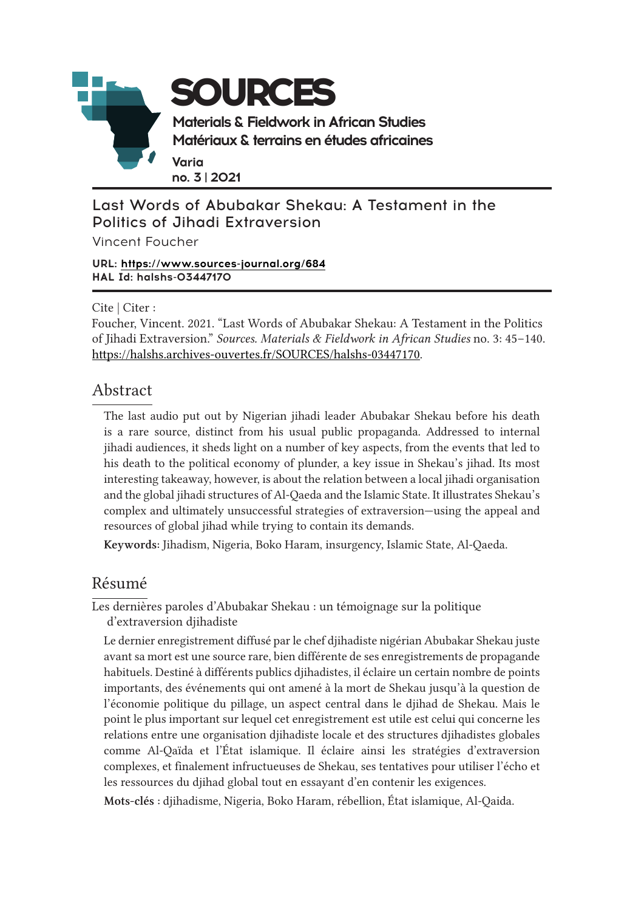

### Last Words of Abubakar Shekau: A Testament in the Politics of Jihadi Extraversion

Vincent Foucher

#### **URL: <https://www.sources-journal.org/684> HAL Id: halshs-03447170**

Cite | Citer :

Foucher, Vincent. 2021. "Last Words of Abubakar Shekau: A Testament in the Politics of Jihadi Extraversion." *Sources. Materials & Fieldwork in African Studies* no. 3: 45–140. [https://halshs.archives-ouvertes.fr/SOURCES/h](https://halshs.archives-ouvertes.fr/SOURCES/halshs-03447170)alshs-03447170.

### Abstract

The last audio put out by Nigerian jihadi leader Abubakar Shekau before his death is a rare source, distinct from his usual public propaganda. Addressed to internal jihadi audiences, it sheds light on a number of key aspects, from the events that led to his death to the political economy of plunder, a key issue in Shekau's jihad. Its most interesting takeaway, however, is about the relation between a local jihadi organisation and the global jihadi structures of Al-Qaeda and the Islamic State. It illustrates Shekau's complex and ultimately unsuccessful strategies of extraversion—using the appeal and resources of global jihad while trying to contain its demands.

Keywords: Jihadism, Nigeria, Boko Haram, insurgency, Islamic State, Al-Qaeda.

### Résumé

Les dernières paroles d'Abubakar Shekau : un témoignage sur la politique d'extraversion djihadiste

Le dernier enregistrement diffusé par le chef djihadiste nigérian Abubakar Shekau juste avant sa mort est une source rare, bien différente de ses enregistrements de propagande habituels. Destiné à différents publics djihadistes, il éclaire un certain nombre de points importants, des événements qui ont amené à la mort de Shekau jusqu'à la question de l'économie politique du pillage, un aspect central dans le djihad de Shekau. Mais le point le plus important sur lequel cet enregistrement est utile est celui qui concerne les relations entre une organisation djihadiste locale et des structures djihadistes globales comme Al-Qaïda et l'État islamique. Il éclaire ainsi les stratégies d'extraversion complexes, et finalement infructueuses de Shekau, ses tentatives pour utiliser l'écho et les ressources du djihad global tout en essayant d'en contenir les exigences.

Mots-clés : djihadisme, Nigeria, Boko Haram, rébellion, État islamique, Al-Qaida.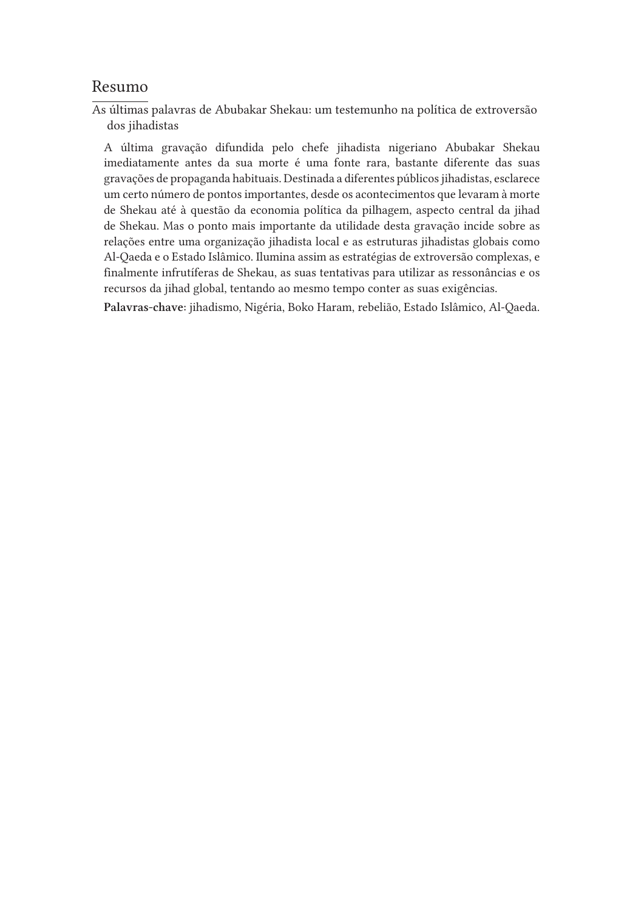### Resumo

As últimas palavras de Abubakar Shekau: um testemunho na política de extroversão dos jihadistas

A última gravação difundida pelo chefe jihadista nigeriano Abubakar Shekau imediatamente antes da sua morte é uma fonte rara, bastante diferente das suas gravações de propaganda habituais. Destinada a diferentes públicos jihadistas, esclarece um certo número de pontos importantes, desde os acontecimentos que levaram à morte de Shekau até à questão da economia política da pilhagem, aspecto central da jihad de Shekau. Mas o ponto mais importante da utilidade desta gravação incide sobre as relações entre uma organização jihadista local e as estruturas jihadistas globais como Al-Qaeda e o Estado Islâmico. Ilumina assim as estratégias de extroversão complexas, e finalmente infrutíferas de Shekau, as suas tentativas para utilizar as ressonâncias e os recursos da jihad global, tentando ao mesmo tempo conter as suas exigências.

Palavras-chave: jihadismo, Nigéria, Boko Haram, rebelião, Estado Islâmico, Al-Qaeda.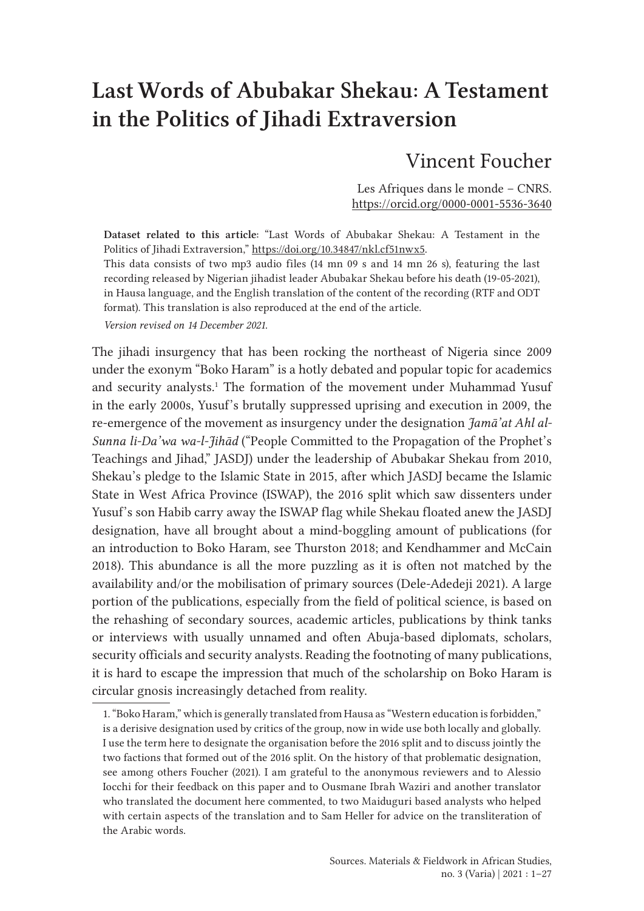# Last Words of Abubakar Shekau: A Testament in the Politics of Jihadi Extraversion

# Vincent Foucher

Les Afriques dans le monde – CNRS. <https://orcid.org/0000-0001-5536-3640>

Dataset related to this article: "Last Words of Abubakar Shekau: A Testament in the Politics of Jihadi Extraversion,"<https://doi.org/10.34847/nkl.cf51nwx5>. This data consists of two mp3 audio files (14 mn 09 s and 14 mn 26 s), featuring the last recording released by Nigerian jihadist leader Abubakar Shekau before his death (19-05-2021), in Hausa language, and the English translation of the content of the recording (RTF and ODT format). This translation is also reproduced at the end of the article.

*Version revised on 14 December 2021.*

The jihadi insurgency that has been rocking the northeast of Nigeria since 2009 under the exonym "Boko Haram" is a hotly debated and popular topic for academics and security analysts.<sup>1</sup> The formation of the movement under Muhammad Yusuf in the early 2000s, Yusuf's brutally suppressed uprising and execution in 2009, the re-emergence of the movement as insurgency under the designation *Jamā'at Ahl al-Sunna li-Da'wa wa-l-Jihād* ("People Committed to the Propagation of the Prophet's Teachings and Jihad," JASDJ) under the leadership of Abubakar Shekau from 2010, Shekau's pledge to the Islamic State in 2015, after which JASDJ became the Islamic State in West Africa Province (ISWAP), the 2016 split which saw dissenters under Yusuf's son Habib carry away the ISWAP flag while Shekau floated anew the JASDJ designation, have all brought about a mind-boggling amount of publications (for an introduction to Boko Haram, see Thurston 2018; and Kendhammer and McCain 2018). This abundance is all the more puzzling as it is often not matched by the availability and/or the mobilisation of primary sources (Dele-Adedeji 2021). A large portion of the publications, especially from the field of political science, is based on the rehashing of secondary sources, academic articles, publications by think tanks or interviews with usually unnamed and often Abuja-based diplomats, scholars, security officials and security analysts. Reading the footnoting of many publications, it is hard to escape the impression that much of the scholarship on Boko Haram is circular gnosis increasingly detached from reality.

<sup>1. &</sup>quot;Boko Haram," which is generally translated from Hausa as "Western education is forbidden," is a derisive designation used by critics of the group, now in wide use both locally and globally. I use the term here to designate the organisation before the 2016 split and to discuss jointly the two factions that formed out of the 2016 split. On the history of that problematic designation, see among others Foucher (2021). I am grateful to the anonymous reviewers and to Alessio Iocchi for their feedback on this paper and to Ousmane Ibrah Waziri and another translator who translated the document here commented, to two Maiduguri based analysts who helped with certain aspects of the translation and to Sam Heller for advice on the transliteration of the Arabic words.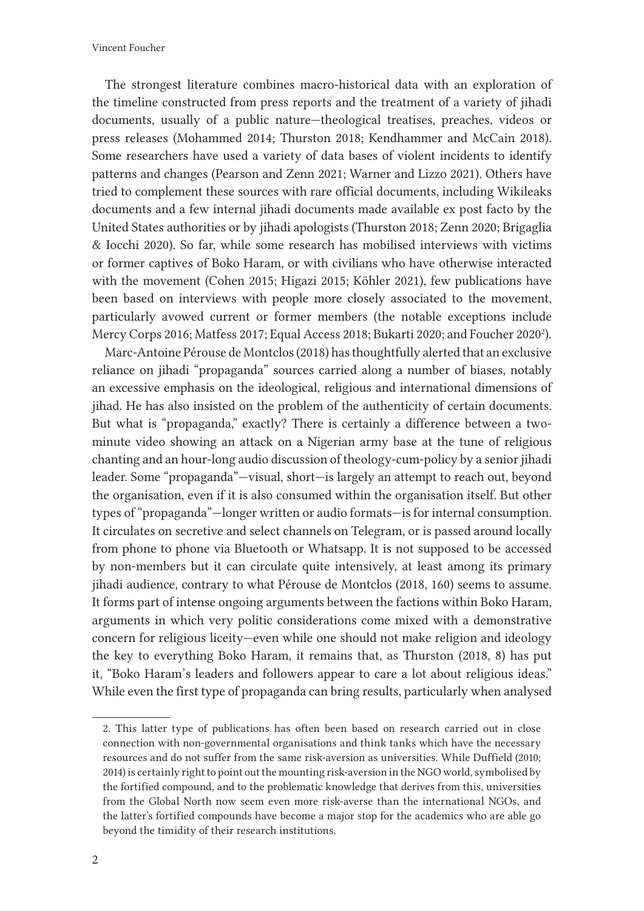The strongest literature combines macro-historical data with an exploration of the timeline constructed from press reports and the treatment of a variety of jihadi documents, usually of a public nature—theological treatises, preaches, videos or press releases (Mohammed 2014; Thurston 2018; Kendhammer and McCain 2018). Some researchers have used a variety of data bases of violent incidents to identify patterns and changes (Pearson and Zenn 2021; Warner and Lizzo 2021). Others have tried to complement these sources with rare official documents, including Wikileaks documents and a few internal jihadi documents made available ex post facto by the United States authorities or by jihadi apologists (Thurston 2018; Zenn 2020; Brigaglia & Iocchi 2020). So far, while some research has mobilised interviews with victims or former captives of Boko Haram, or with civilians who have otherwise interacted with the movement (Cohen 2015; Higazi 2015; Köhler 2021), few publications have been based on interviews with people more closely associated to the movement, particularly avowed current or former members (the notable exceptions include Mercy Corps 2016; Matfess 2017; Equal Access 2018; Bukarti 2020; and Foucher 2020<sup>2</sup>).

Marc-Antoine Pérouse de Montclos (2018) has thoughtfully alerted that an exclusive reliance on jihadi "propaganda" sources carried along a number of biases, notably an excessive emphasis on the ideological, religious and international dimensions of jihad. He has also insisted on the problem of the authenticity of certain documents. But what is "propaganda," exactly? There is certainly a difference between a twominute video showing an attack on a Nigerian army base at the tune of religious chanting and an hour-long audio discussion of theology-cum-policy by a senior jihadi leader. Some "propaganda"—visual, short—is largely an attempt to reach out, beyond the organisation, even if it is also consumed within the organisation itself. But other types of "propaganda"—longer written or audio formats—is for internal consumption. It circulates on secretive and select channels on Telegram, or is passed around locally from phone to phone via Bluetooth or Whatsapp. It is not supposed to be accessed by non-members but it can circulate quite intensively, at least among its primary jihadi audience, contrary to what Pérouse de Montclos (2018, 160) seems to assume. It forms part of intense ongoing arguments between the factions within Boko Haram, arguments in which very politic considerations come mixed with a demonstrative concern for religious liceity—even while one should not make religion and ideology the key to everything Boko Haram, it remains that, as Thurston (2018, 8) has put it, "Boko Haram's leaders and followers appear to care a lot about religious ideas." While even the first type of propaganda can bring results, particularly when analysed

<sup>2.</sup> This latter type of publications has often been based on research carried out in close connection with non-governmental organisations and think tanks which have the necessary resources and do not suffer from the same risk-aversion as universities. While Duffield (2010; 2014) is certainly right to point out the mounting risk-aversion in the NGO world, symbolised by the fortified compound, and to the problematic knowledge that derives from this, universities from the Global North now seem even more risk-averse than the international NGOs, and the latter's fortified compounds have become a major stop for the academics who are able go beyond the timidity of their research institutions.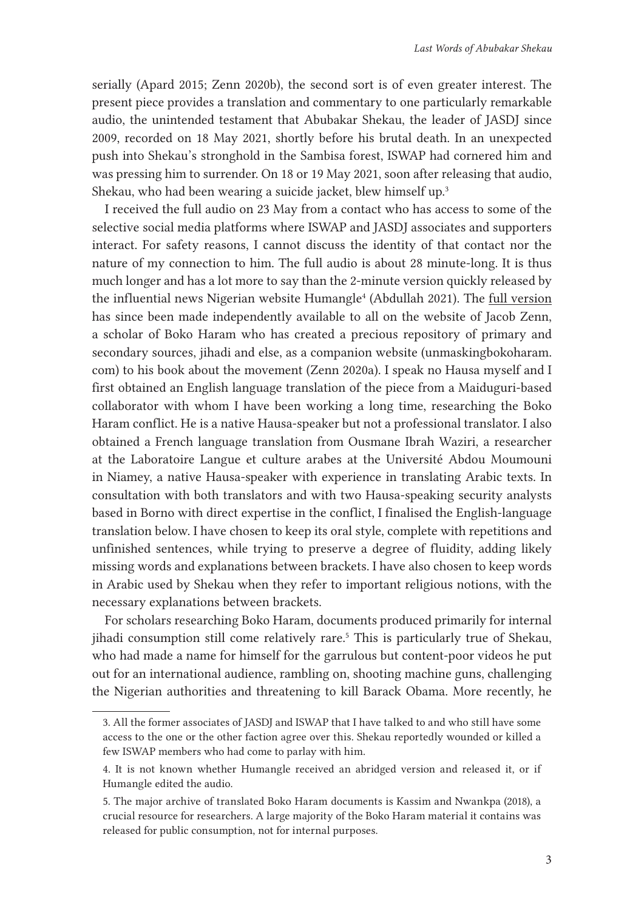serially (Apard 2015; Zenn 2020b), the second sort is of even greater interest. The present piece provides a translation and commentary to one particularly remarkable audio, the unintended testament that Abubakar Shekau, the leader of JASDJ since 2009, recorded on 18 May 2021, shortly before his brutal death. In an unexpected push into Shekau's stronghold in the Sambisa forest, ISWAP had cornered him and was pressing him to surrender. On 18 or 19 May 2021, soon after releasing that audio, Shekau, who had been wearing a suicide jacket, blew himself up.<sup>3</sup>

I received the full audio on 23 May from a contact who has access to some of the selective social media platforms where ISWAP and JASDJ associates and supporters interact. For safety reasons, I cannot discuss the identity of that contact nor the nature of my connection to him. The full audio is about 28 minute-long. It is thus much longer and has a lot more to say than the 2-minute version quickly released by the influential news Nigerian website Humangle<sup>4</sup> (Abdullah 2021). The <u>[full version](https://unmaskingbokoharam.com/2021/05/23/boko-haram-abubakar-shekau-final-audio-sermon-may-22-2021/)</u> has since been made independently available to all on the website of Jacob Zenn, a scholar of Boko Haram who has created a precious repository of primary and secondary sources, jihadi and else, as a companion website (unmaskingbokoharam. com) to his book about the movement (Zenn 2020a). I speak no Hausa myself and I first obtained an English language translation of the piece from a Maiduguri-based collaborator with whom I have been working a long time, researching the Boko Haram conflict. He is a native Hausa-speaker but not a professional translator. I also obtained a French language translation from Ousmane Ibrah Waziri, a researcher at the Laboratoire Langue et culture arabes at the Université Abdou Moumouni in Niamey, a native Hausa-speaker with experience in translating Arabic texts. In consultation with both translators and with two Hausa-speaking security analysts based in Borno with direct expertise in the conflict, I finalised the English-language translation below. I have chosen to keep its oral style, complete with repetitions and unfinished sentences, while trying to preserve a degree of fluidity, adding likely missing words and explanations between brackets. I have also chosen to keep words in Arabic used by Shekau when they refer to important religious notions, with the necessary explanations between brackets.

For scholars researching Boko Haram, documents produced primarily for internal jihadi consumption still come relatively rare.5 This is particularly true of Shekau, who had made a name for himself for the garrulous but content-poor videos he put out for an international audience, rambling on, shooting machine guns, challenging the Nigerian authorities and threatening to kill Barack Obama. More recently, he

<sup>3.</sup> All the former associates of JASDJ and ISWAP that I have talked to and who still have some access to the one or the other faction agree over this. Shekau reportedly wounded or killed a few ISWAP members who had come to parlay with him.

<sup>4.</sup> It is not known whether Humangle received an abridged version and released it, or if Humangle edited the audio.

<sup>5.</sup> The major archive of translated Boko Haram documents is Kassim and Nwankpa (2018), a crucial resource for researchers. A large majority of the Boko Haram material it contains was released for public consumption, not for internal purposes.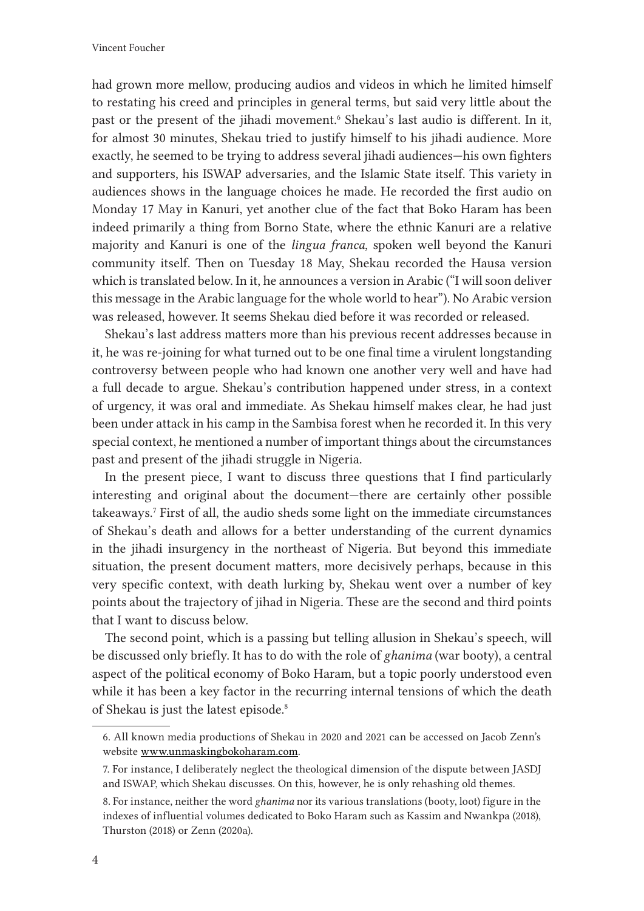had grown more mellow, producing audios and videos in which he limited himself to restating his creed and principles in general terms, but said very little about the past or the present of the jihadi movement.<sup>6</sup> Shekau's last audio is different. In it, for almost 30 minutes, Shekau tried to justify himself to his jihadi audience. More exactly, he seemed to be trying to address several jihadi audiences—his own fighters and supporters, his ISWAP adversaries, and the Islamic State itself. This variety in audiences shows in the language choices he made. He recorded the first audio on Monday 17 May in Kanuri, yet another clue of the fact that Boko Haram has been indeed primarily a thing from Borno State, where the ethnic Kanuri are a relative majority and Kanuri is one of the *lingua franca*, spoken well beyond the Kanuri community itself. Then on Tuesday 18 May, Shekau recorded the Hausa version which is translated below. In it, he announces a version in Arabic ("I will soon deliver this message in the Arabic language for the whole world to hear"). No Arabic version was released, however. It seems Shekau died before it was recorded or released.

Shekau's last address matters more than his previous recent addresses because in it, he was re-joining for what turned out to be one final time a virulent longstanding controversy between people who had known one another very well and have had a full decade to argue. Shekau's contribution happened under stress, in a context of urgency, it was oral and immediate. As Shekau himself makes clear, he had just been under attack in his camp in the Sambisa forest when he recorded it. In this very special context, he mentioned a number of important things about the circumstances past and present of the jihadi struggle in Nigeria.

In the present piece, I want to discuss three questions that I find particularly interesting and original about the document—there are certainly other possible takeaways.7 First of all, the audio sheds some light on the immediate circumstances of Shekau's death and allows for a better understanding of the current dynamics in the jihadi insurgency in the northeast of Nigeria. But beyond this immediate situation, the present document matters, more decisively perhaps, because in this very specific context, with death lurking by, Shekau went over a number of key points about the trajectory of jihad in Nigeria. These are the second and third points that I want to discuss below.

The second point, which is a passing but telling allusion in Shekau's speech, will be discussed only briefly. It has to do with the role of *ghanima* (war booty), a central aspect of the political economy of Boko Haram, but a topic poorly understood even while it has been a key factor in the recurring internal tensions of which the death of Shekau is just the latest episode.<sup>8</sup>

<sup>6.</sup> All known media productions of Shekau in 2020 and 2021 can be accessed on Jacob Zenn's website [www.unmaskingbokoharam.com](http://www.unmaskingbokoharam.com).

<sup>7.</sup> For instance, I deliberately neglect the theological dimension of the dispute between JASDJ and ISWAP, which Shekau discusses. On this, however, he is only rehashing old themes.

<sup>8.</sup> For instance, neither the word *ghanima* nor its various translations (booty, loot) figure in the indexes of influential volumes dedicated to Boko Haram such as Kassim and Nwankpa (2018), Thurston (2018) or Zenn (2020a).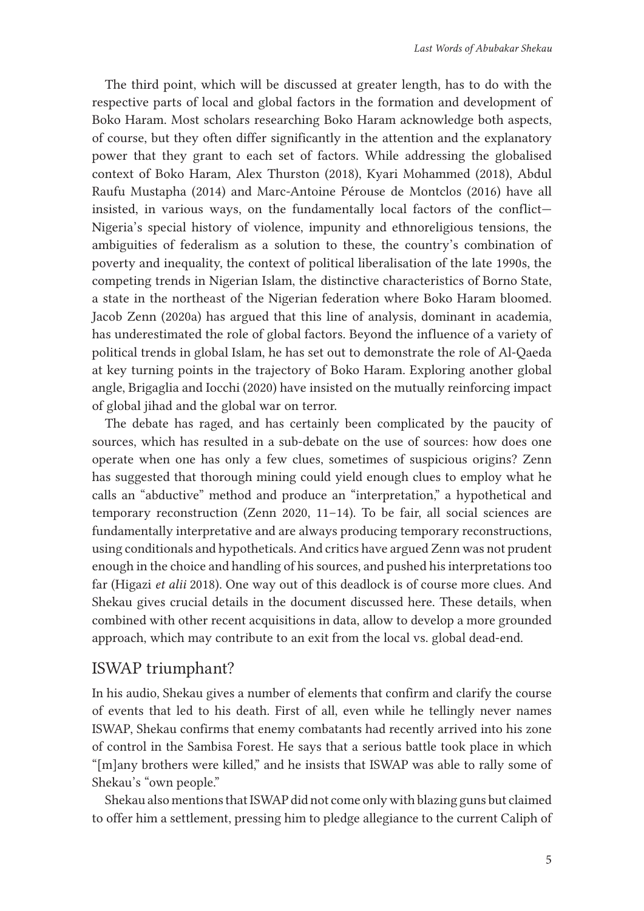The third point, which will be discussed at greater length, has to do with the respective parts of local and global factors in the formation and development of Boko Haram. Most scholars researching Boko Haram acknowledge both aspects, of course, but they often differ significantly in the attention and the explanatory power that they grant to each set of factors. While addressing the globalised context of Boko Haram, Alex Thurston (2018), Kyari Mohammed (2018), Abdul Raufu Mustapha (2014) and Marc-Antoine Pérouse de Montclos (2016) have all insisted, in various ways, on the fundamentally local factors of the conflict— Nigeria's special history of violence, impunity and ethnoreligious tensions, the ambiguities of federalism as a solution to these, the country's combination of poverty and inequality, the context of political liberalisation of the late 1990s, the competing trends in Nigerian Islam, the distinctive characteristics of Borno State, a state in the northeast of the Nigerian federation where Boko Haram bloomed. Jacob Zenn (2020a) has argued that this line of analysis, dominant in academia, has underestimated the role of global factors. Beyond the influence of a variety of political trends in global Islam, he has set out to demonstrate the role of Al-Qaeda at key turning points in the trajectory of Boko Haram. Exploring another global angle, Brigaglia and Iocchi (2020) have insisted on the mutually reinforcing impact of global jihad and the global war on terror.

The debate has raged, and has certainly been complicated by the paucity of sources, which has resulted in a sub-debate on the use of sources: how does one operate when one has only a few clues, sometimes of suspicious origins? Zenn has suggested that thorough mining could yield enough clues to employ what he calls an "abductive" method and produce an "interpretation," a hypothetical and temporary reconstruction (Zenn 2020, 11–14). To be fair, all social sciences are fundamentally interpretative and are always producing temporary reconstructions, using conditionals and hypotheticals. And critics have argued Zenn was not prudent enough in the choice and handling of his sources, and pushed his interpretations too far (Higazi *et alii* 2018). One way out of this deadlock is of course more clues. And Shekau gives crucial details in the document discussed here. These details, when combined with other recent acquisitions in data, allow to develop a more grounded approach, which may contribute to an exit from the local vs. global dead-end.

### ISWAP triumphant?

In his audio, Shekau gives a number of elements that confirm and clarify the course of events that led to his death. First of all, even while he tellingly never names ISWAP, Shekau confirms that enemy combatants had recently arrived into his zone of control in the Sambisa Forest. He says that a serious battle took place in which "[m]any brothers were killed," and he insists that ISWAP was able to rally some of Shekau's "own people."

Shekau also mentions that ISWAP did not come only with blazing guns but claimed to offer him a settlement, pressing him to pledge allegiance to the current Caliph of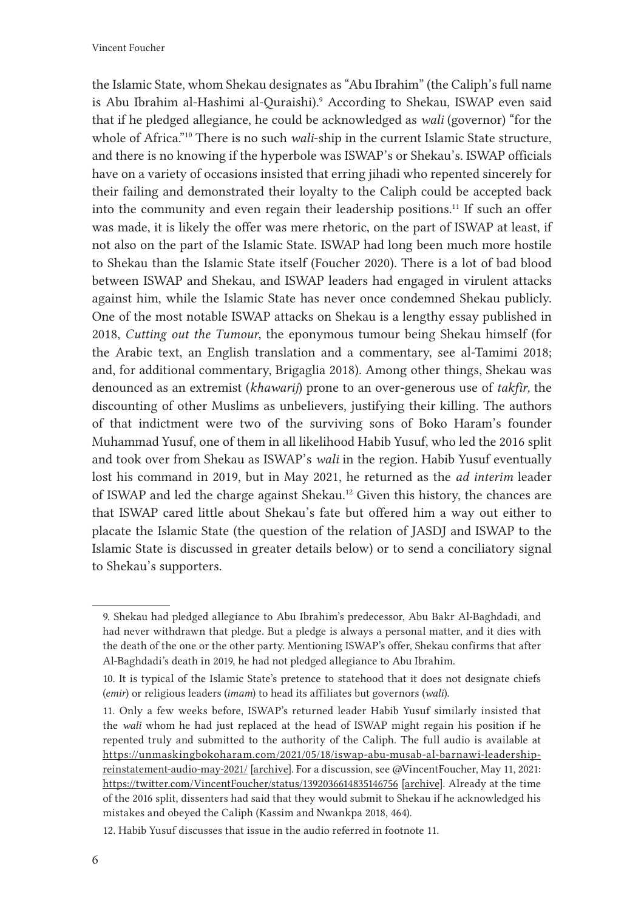the Islamic State, whom Shekau designates as "Abu Ibrahim" (the Caliph's full name is Abu Ibrahim al-Hashimi al-Quraishi).<sup>9</sup> According to Shekau, ISWAP even said that if he pledged allegiance, he could be acknowledged as *wali* (governor) "for the whole of Africa."<sup>10</sup> There is no such *wali*-ship in the current Islamic State structure, and there is no knowing if the hyperbole was ISWAP's or Shekau's. ISWAP officials have on a variety of occasions insisted that erring jihadi who repented sincerely for their failing and demonstrated their loyalty to the Caliph could be accepted back into the community and even regain their leadership positions.<sup>11</sup> If such an offer was made, it is likely the offer was mere rhetoric, on the part of ISWAP at least, if not also on the part of the Islamic State. ISWAP had long been much more hostile to Shekau than the Islamic State itself (Foucher 2020). There is a lot of bad blood between ISWAP and Shekau, and ISWAP leaders had engaged in virulent attacks against him, while the Islamic State has never once condemned Shekau publicly. One of the most notable ISWAP attacks on Shekau is a lengthy essay published in 2018, *Cutting out the Tumour*, the eponymous tumour being Shekau himself (for the Arabic text, an English translation and a commentary, see al-Tamimi 2018; and, for additional commentary, Brigaglia 2018). Among other things, Shekau was denounced as an extremist (*khawarij*) prone to an over-generous use of *takfir,* the discounting of other Muslims as unbelievers, justifying their killing. The authors of that indictment were two of the surviving sons of Boko Haram's founder Muhammad Yusuf, one of them in all likelihood Habib Yusuf, who led the 2016 split and took over from Shekau as ISWAP's *wali* in the region. Habib Yusuf eventually lost his command in 2019, but in May 2021, he returned as the *ad interim* leader of ISWAP and led the charge against Shekau.<sup>12</sup> Given this history, the chances are that ISWAP cared little about Shekau's fate but offered him a way out either to placate the Islamic State (the question of the relation of JASDJ and ISWAP to the Islamic State is discussed in greater details below) or to send a conciliatory signal to Shekau's supporters.

<sup>9.</sup> Shekau had pledged allegiance to Abu Ibrahim's predecessor, Abu Bakr Al-Baghdadi, and had never withdrawn that pledge. But a pledge is always a personal matter, and it dies with the death of the one or the other party. Mentioning ISWAP's offer, Shekau confirms that after Al-Baghdadi's death in 2019, he had not pledged allegiance to Abu Ibrahim.

<sup>10.</sup> It is typical of the Islamic State's pretence to statehood that it does not designate chiefs (*emir*) or religious leaders (*imam*) to head its affiliates but governors (*wali*).

<sup>11.</sup> Only a few weeks before, ISWAP's returned leader Habib Yusuf similarly insisted that the *wali* whom he had just replaced at the head of ISWAP might regain his position if he repented truly and submitted to the authority of the Caliph. The full audio is available at [https://unmaskingbokoharam.com/2021/05/18/iswap-abu-musab-al-barnawi-leadership](https://unmaskingbokoharam.com/2021/05/18/iswap-abu-musab-al-barnawi-leadership-reinstatement-audio-may-2021/)[reinstatement-audio-may-2021/](https://unmaskingbokoharam.com/2021/05/18/iswap-abu-musab-al-barnawi-leadership-reinstatement-audio-may-2021/) [\[archive](https://web.archive.org/web/20210730185350/https:/unmaskingbokoharam.com/2021/05/18/iswap-abu-musab-al-barnawi-leadership-reinstatement-audio-may-2021/)]. For a discussion, see @VincentFoucher, May 11, 2021: <https://twitter.com/VincentFoucher/status/1392036614835146756> [\[archive](https://web.archive.org/web/20210703155104/https:/twitter.com/vincentfoucher/status/1392036614835146756)]. Already at the time of the 2016 split, dissenters had said that they would submit to Shekau if he acknowledged his mistakes and obeyed the Caliph (Kassim and Nwankpa 2018, 464).

<sup>12.</sup> Habib Yusuf discusses that issue in the audio referred in footnote 11.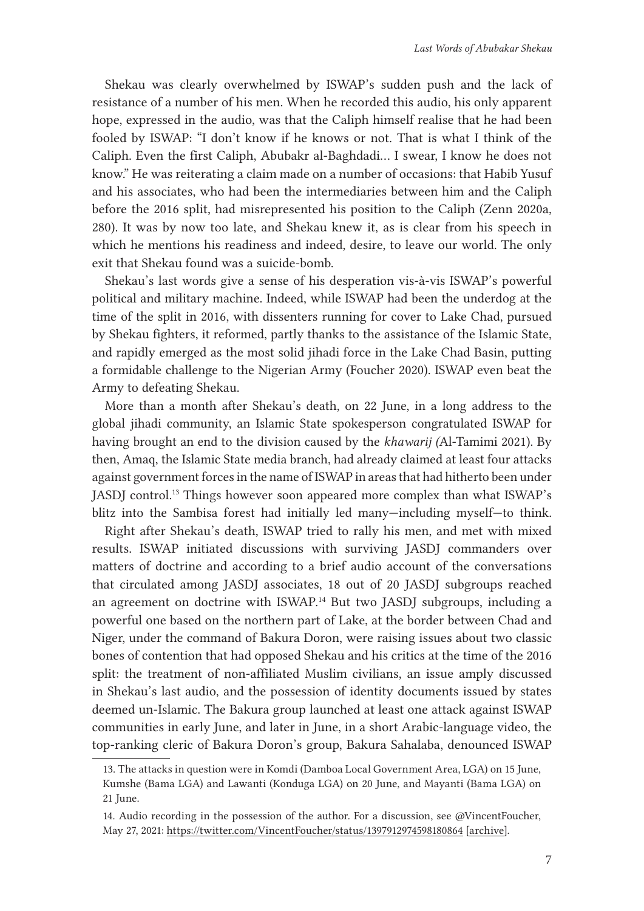Shekau was clearly overwhelmed by ISWAP's sudden push and the lack of resistance of a number of his men. When he recorded this audio, his only apparent hope, expressed in the audio, was that the Caliph himself realise that he had been fooled by ISWAP: "I don't know if he knows or not. That is what I think of the Caliph. Even the first Caliph, Abubakr al-Baghdadi… I swear, I know he does not know." He was reiterating a claim made on a number of occasions: that Habib Yusuf and his associates, who had been the intermediaries between him and the Caliph before the 2016 split, had misrepresented his position to the Caliph (Zenn 2020a, 280). It was by now too late, and Shekau knew it, as is clear from his speech in which he mentions his readiness and indeed, desire, to leave our world. The only exit that Shekau found was a suicide-bomb.

Shekau's last words give a sense of his desperation vis-à-vis ISWAP's powerful political and military machine. Indeed, while ISWAP had been the underdog at the time of the split in 2016, with dissenters running for cover to Lake Chad, pursued by Shekau fighters, it reformed, partly thanks to the assistance of the Islamic State, and rapidly emerged as the most solid jihadi force in the Lake Chad Basin, putting a formidable challenge to the Nigerian Army (Foucher 2020). ISWAP even beat the Army to defeating Shekau.

More than a month after Shekau's death, on 22 June, in a long address to the global jihadi community, an Islamic State spokesperson congratulated ISWAP for having brought an end to the division caused by the *khawarij (*Al-Tamimi 2021). By then, Amaq, the Islamic State media branch, had already claimed at least four attacks against government forces in the name of ISWAP in areas that had hitherto been under JASDJ control.<sup>13</sup> Things however soon appeared more complex than what ISWAP's blitz into the Sambisa forest had initially led many—including myself—to think.

Right after Shekau's death, ISWAP tried to rally his men, and met with mixed results. ISWAP initiated discussions with surviving JASDJ commanders over matters of doctrine and according to a brief audio account of the conversations that circulated among JASDJ associates, 18 out of 20 JASDJ subgroups reached an agreement on doctrine with ISWAP.<sup>14</sup> But two JASDJ subgroups, including a powerful one based on the northern part of Lake, at the border between Chad and Niger, under the command of Bakura Doron, were raising issues about two classic bones of contention that had opposed Shekau and his critics at the time of the 2016 split: the treatment of non-affiliated Muslim civilians, an issue amply discussed in Shekau's last audio, and the possession of identity documents issued by states deemed un-Islamic. The Bakura group launched at least one attack against ISWAP communities in early June, and later in June, in a short Arabic-language video, the top-ranking cleric of Bakura Doron's group, Bakura Sahalaba, denounced ISWAP

<sup>13.</sup> The attacks in question were in Komdi (Damboa Local Government Area, LGA) on 15 June, Kumshe (Bama LGA) and Lawanti (Konduga LGA) on 20 June, and Mayanti (Bama LGA) on 21 June.

<sup>14.</sup> Audio recording in the possession of the author. For a discussion, see @VincentFoucher, May 27, 2021:<https://twitter.com/VincentFoucher/status/1397912974598180864> [\[archive](https://web.archive.org/web/20210527135645/https:/twitter.com/VincentFoucher/status/1397912974598180864)].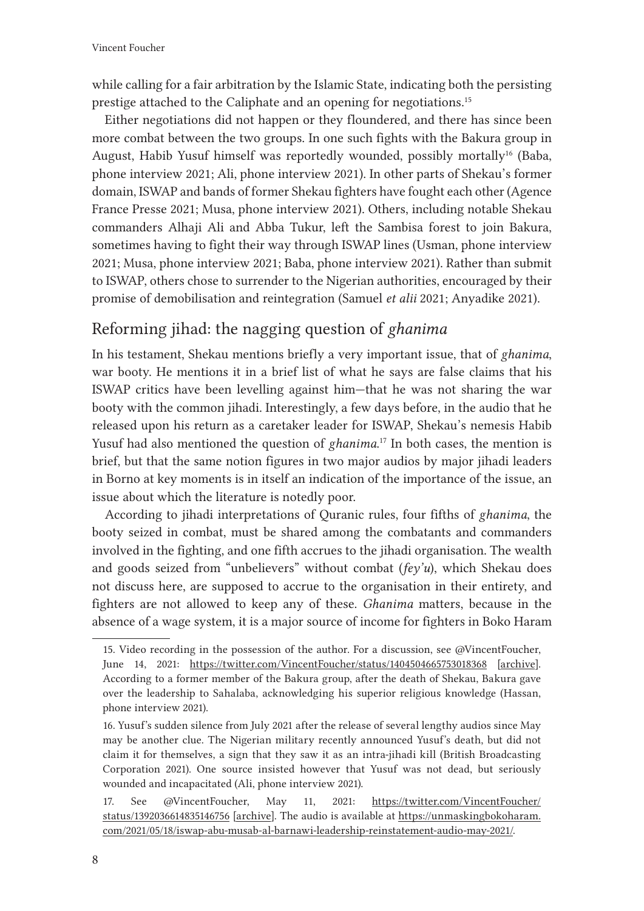while calling for a fair arbitration by the Islamic State, indicating both the persisting prestige attached to the Caliphate and an opening for negotiations.15

Either negotiations did not happen or they floundered, and there has since been more combat between the two groups. In one such fights with the Bakura group in August, Habib Yusuf himself was reportedly wounded, possibly mortally<sup>16</sup> (Baba, phone interview 2021; Ali, phone interview 2021). In other parts of Shekau's former domain, ISWAP and bands of former Shekau fighters have fought each other (Agence France Presse 2021; Musa, phone interview 2021). Others, including notable Shekau commanders Alhaji Ali and Abba Tukur, left the Sambisa forest to join Bakura, sometimes having to fight their way through ISWAP lines (Usman, phone interview 2021; Musa, phone interview 2021; Baba, phone interview 2021). Rather than submit to ISWAP, others chose to surrender to the Nigerian authorities, encouraged by their promise of demobilisation and reintegration (Samuel *et alii* 2021; Anyadike 2021).

# Reforming jihad: the nagging question of *ghanima*

In his testament, Shekau mentions briefly a very important issue, that of *ghanima*, war booty. He mentions it in a brief list of what he says are false claims that his ISWAP critics have been levelling against him—that he was not sharing the war booty with the common jihadi. Interestingly, a few days before, in the audio that he released upon his return as a caretaker leader for ISWAP, Shekau's nemesis Habib Yusuf had also mentioned the question of *ghanima*. 17 In both cases, the mention is brief, but that the same notion figures in two major audios by major jihadi leaders in Borno at key moments is in itself an indication of the importance of the issue, an issue about which the literature is notedly poor.

According to jihadi interpretations of Quranic rules, four fifths of *ghanima*, the booty seized in combat, must be shared among the combatants and commanders involved in the fighting, and one fifth accrues to the jihadi organisation. The wealth and goods seized from "unbelievers" without combat (*fey'u*), which Shekau does not discuss here, are supposed to accrue to the organisation in their entirety, and fighters are not allowed to keep any of these. *Ghanima* matters, because in the absence of a wage system, it is a major source of income for fighters in Boko Haram

<sup>15.</sup> Video recording in the possession of the author. For a discussion, see @VincentFoucher, June 14, 2021: <https://twitter.com/VincentFoucher/status/1404504665753018368> [\[archive](https://web.archive.org/web/20210614182642/https:/twitter.com/VincentFoucher/status/1404504665753018368)]. According to a former member of the Bakura group, after the death of Shekau, Bakura gave over the leadership to Sahalaba, acknowledging his superior religious knowledge (Hassan, phone interview 2021).

<sup>16.</sup> Yusuf's sudden silence from July 2021 after the release of several lengthy audios since May may be another clue. The Nigerian military recently announced Yusuf's death, but did not claim it for themselves, a sign that they saw it as an intra-jihadi kill (British Broadcasting Corporation 2021). One source insisted however that Yusuf was not dead, but seriously wounded and incapacitated (Ali, phone interview 2021).

<sup>17.</sup> See @VincentFoucher, May 11, 2021: [https://twitter.com/VincentFoucher/](https://twitter.com/VincentFoucher/status/1392036614835146756) [status/1392036614835146756](https://twitter.com/VincentFoucher/status/1392036614835146756) [\[archive](https://web.archive.org/web/20210703155104/https:/twitter.com/vincentfoucher/status/1392036614835146756)]. The audio is available at [https://unmaskingbokoharam.](https://unmaskingbokoharam.com/2021/05/18/iswap-abu-musab-al-barnawi-leadership-reinstatement-audio-may-2021/) [com/2021/05/18/iswap-abu-musab-al-barnawi-leadership-reinstatement-audio-may-2021/](https://unmaskingbokoharam.com/2021/05/18/iswap-abu-musab-al-barnawi-leadership-reinstatement-audio-may-2021/).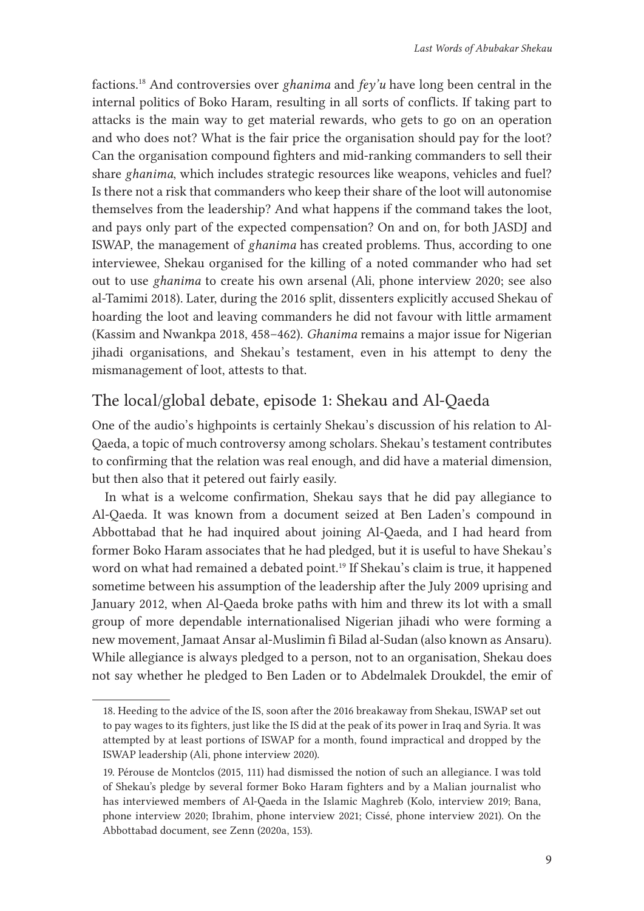factions.<sup>18</sup> And controversies over *ghanima* and *fey'u* have long been central in the internal politics of Boko Haram, resulting in all sorts of conflicts. If taking part to attacks is the main way to get material rewards, who gets to go on an operation and who does not? What is the fair price the organisation should pay for the loot? Can the organisation compound fighters and mid-ranking commanders to sell their share *ghanima*, which includes strategic resources like weapons, vehicles and fuel? Is there not a risk that commanders who keep their share of the loot will autonomise themselves from the leadership? And what happens if the command takes the loot, and pays only part of the expected compensation? On and on, for both JASDJ and ISWAP, the management of *ghanima* has created problems. Thus, according to one interviewee, Shekau organised for the killing of a noted commander who had set out to use *ghanima* to create his own arsenal (Ali, phone interview 2020; see also al-Tamimi 2018). Later, during the 2016 split, dissenters explicitly accused Shekau of hoarding the loot and leaving commanders he did not favour with little armament (Kassim and Nwankpa 2018, 458–462). *Ghanima* remains a major issue for Nigerian jihadi organisations, and Shekau's testament, even in his attempt to deny the mismanagement of loot, attests to that.

### The local/global debate, episode 1: Shekau and Al-Qaeda

One of the audio's highpoints is certainly Shekau's discussion of his relation to Al-Qaeda, a topic of much controversy among scholars. Shekau's testament contributes to confirming that the relation was real enough, and did have a material dimension, but then also that it petered out fairly easily.

In what is a welcome confirmation, Shekau says that he did pay allegiance to Al-Qaeda. It was known from a document seized at Ben Laden's compound in Abbottabad that he had inquired about joining Al-Qaeda, and I had heard from former Boko Haram associates that he had pledged, but it is useful to have Shekau's word on what had remained a debated point.<sup>19</sup> If Shekau's claim is true, it happened sometime between his assumption of the leadership after the July 2009 uprising and January 2012, when Al-Qaeda broke paths with him and threw its lot with a small group of more dependable internationalised Nigerian jihadi who were forming a new movement, Jamaat Ansar al-Muslimin fi Bilad al-Sudan (also known as Ansaru). While allegiance is always pledged to a person, not to an organisation, Shekau does not say whether he pledged to Ben Laden or to Abdelmalek Droukdel, the emir of

<sup>18.</sup> Heeding to the advice of the IS, soon after the 2016 breakaway from Shekau, ISWAP set out to pay wages to its fighters, just like the IS did at the peak of its power in Iraq and Syria. It was attempted by at least portions of ISWAP for a month, found impractical and dropped by the ISWAP leadership (Ali, phone interview 2020).

<sup>19.</sup> Pérouse de Montclos (2015, 111) had dismissed the notion of such an allegiance. I was told of Shekau's pledge by several former Boko Haram fighters and by a Malian journalist who has interviewed members of Al-Qaeda in the Islamic Maghreb (Kolo, interview 2019; Bana, phone interview 2020; Ibrahim, phone interview 2021; Cissé, phone interview 2021). On the Abbottabad document, see Zenn (2020a, 153).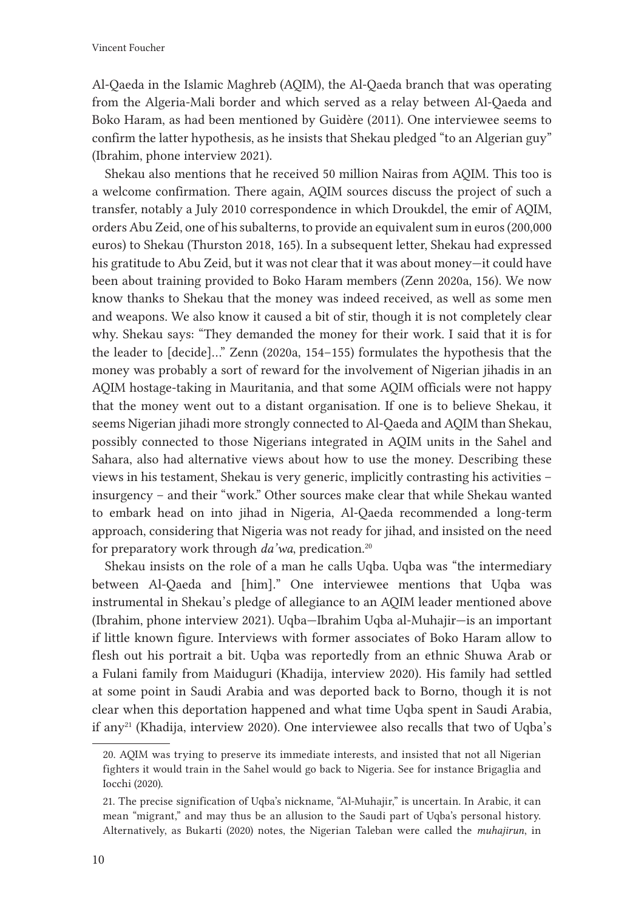Vincent Foucher

Al-Qaeda in the Islamic Maghreb (AQIM), the Al-Qaeda branch that was operating from the Algeria-Mali border and which served as a relay between Al-Qaeda and Boko Haram, as had been mentioned by Guidère (2011). One interviewee seems to confirm the latter hypothesis, as he insists that Shekau pledged "to an Algerian guy" (Ibrahim, phone interview 2021).

Shekau also mentions that he received 50 million Nairas from AQIM. This too is a welcome confirmation. There again, AQIM sources discuss the project of such a transfer, notably a July 2010 correspondence in which Droukdel, the emir of AQIM, orders Abu Zeid, one of his subalterns, to provide an equivalent sum in euros (200,000 euros) to Shekau (Thurston 2018, 165). In a subsequent letter, Shekau had expressed his gratitude to Abu Zeid, but it was not clear that it was about money—it could have been about training provided to Boko Haram members (Zenn 2020a, 156). We now know thanks to Shekau that the money was indeed received, as well as some men and weapons. We also know it caused a bit of stir, though it is not completely clear why. Shekau says: "They demanded the money for their work. I said that it is for the leader to [decide]…" Zenn (2020a, 154–155) formulates the hypothesis that the money was probably a sort of reward for the involvement of Nigerian jihadis in an AQIM hostage-taking in Mauritania, and that some AQIM officials were not happy that the money went out to a distant organisation. If one is to believe Shekau, it seems Nigerian jihadi more strongly connected to Al-Qaeda and AQIM than Shekau, possibly connected to those Nigerians integrated in AQIM units in the Sahel and Sahara, also had alternative views about how to use the money. Describing these views in his testament, Shekau is very generic, implicitly contrasting his activities – insurgency – and their "work." Other sources make clear that while Shekau wanted to embark head on into jihad in Nigeria, Al-Qaeda recommended a long-term approach, considering that Nigeria was not ready for jihad, and insisted on the need for preparatory work through *da'wa*, predication.<sup>20</sup>

Shekau insists on the role of a man he calls Uqba. Uqba was "the intermediary between Al-Qaeda and [him]." One interviewee mentions that Uqba was instrumental in Shekau's pledge of allegiance to an AQIM leader mentioned above (Ibrahim, phone interview 2021). Uqba—Ibrahim Uqba al-Muhajir—is an important if little known figure. Interviews with former associates of Boko Haram allow to flesh out his portrait a bit. Uqba was reportedly from an ethnic Shuwa Arab or a Fulani family from Maiduguri (Khadija, interview 2020). His family had settled at some point in Saudi Arabia and was deported back to Borno, though it is not clear when this deportation happened and what time Uqba spent in Saudi Arabia, if any<sup>21</sup> (Khadija, interview 2020). One interviewee also recalls that two of Uqba's

<sup>20.</sup> AQIM was trying to preserve its immediate interests, and insisted that not all Nigerian fighters it would train in the Sahel would go back to Nigeria. See for instance Brigaglia and Iocchi (2020).

<sup>21.</sup> The precise signification of Uqba's nickname, "Al-Muhajir," is uncertain. In Arabic, it can mean "migrant," and may thus be an allusion to the Saudi part of Uqba's personal history. Alternatively, as Bukarti (2020) notes, the Nigerian Taleban were called the *muhajirun*, in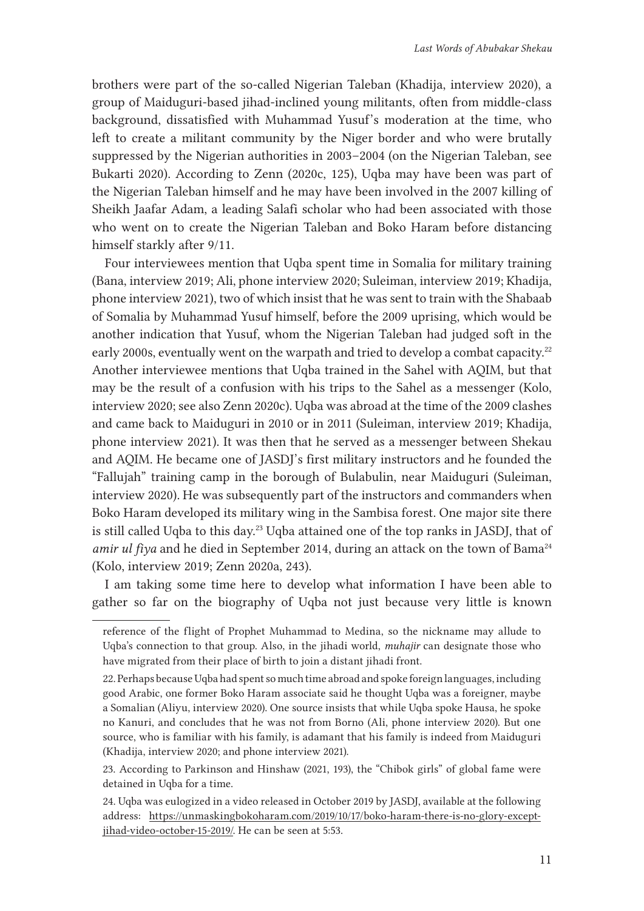brothers were part of the so-called Nigerian Taleban (Khadija, interview 2020), a group of Maiduguri-based jihad-inclined young militants, often from middle-class background, dissatisfied with Muhammad Yusuf's moderation at the time, who left to create a militant community by the Niger border and who were brutally suppressed by the Nigerian authorities in 2003–2004 (on the Nigerian Taleban, see Bukarti 2020). According to Zenn (2020c, 125), Uqba may have been was part of the Nigerian Taleban himself and he may have been involved in the 2007 killing of Sheikh Jaafar Adam, a leading Salafi scholar who had been associated with those who went on to create the Nigerian Taleban and Boko Haram before distancing himself starkly after 9/11.

Four interviewees mention that Uqba spent time in Somalia for military training (Bana, interview 2019; Ali, phone interview 2020; Suleiman, interview 2019; Khadija, phone interview 2021), two of which insist that he was sent to train with the Shabaab of Somalia by Muhammad Yusuf himself, before the 2009 uprising, which would be another indication that Yusuf, whom the Nigerian Taleban had judged soft in the early 2000s, eventually went on the warpath and tried to develop a combat capacity.<sup>22</sup> Another interviewee mentions that Uqba trained in the Sahel with AQIM, but that may be the result of a confusion with his trips to the Sahel as a messenger (Kolo, interview 2020; see also Zenn 2020c). Uqba was abroad at the time of the 2009 clashes and came back to Maiduguri in 2010 or in 2011 (Suleiman, interview 2019; Khadija, phone interview 2021). It was then that he served as a messenger between Shekau and AQIM. He became one of JASDJ's first military instructors and he founded the "Fallujah" training camp in the borough of Bulabulin, near Maiduguri (Suleiman, interview 2020). He was subsequently part of the instructors and commanders when Boko Haram developed its military wing in the Sambisa forest. One major site there is still called Uqba to this day.<sup>23</sup> Uqba attained one of the top ranks in JASDJ, that of *amir ul fiya* and he died in September 2014, during an attack on the town of Bama<sup>24</sup> (Kolo, interview 2019; Zenn 2020a, 243).

I am taking some time here to develop what information I have been able to gather so far on the biography of Uqba not just because very little is known

reference of the flight of Prophet Muhammad to Medina, so the nickname may allude to Uqba's connection to that group. Also, in the jihadi world, *muhajir* can designate those who have migrated from their place of birth to join a distant jihadi front.

<sup>22.</sup> Perhaps because Uqba had spent so much time abroad and spoke foreign languages, including good Arabic, one former Boko Haram associate said he thought Uqba was a foreigner, maybe a Somalian (Aliyu, interview 2020). One source insists that while Uqba spoke Hausa, he spoke no Kanuri, and concludes that he was not from Borno (Ali, phone interview 2020). But one source, who is familiar with his family, is adamant that his family is indeed from Maiduguri (Khadija, interview 2020; and phone interview 2021).

<sup>23.</sup> According to Parkinson and Hinshaw (2021, 193), the "Chibok girls" of global fame were detained in Uqba for a time.

<sup>24.</sup> Uqba was eulogized in a video released in October 2019 by JASDJ, available at the following address: [https://unmaskingbokoharam.com/2019/10/17/boko-haram-there-is-no-glory-except](https://unmaskingbokoharam.com/2019/10/17/boko-haram-there-is-no-glory-except-jihad-video-october-15-2019/)[jihad-video-october-15-2019/](https://unmaskingbokoharam.com/2019/10/17/boko-haram-there-is-no-glory-except-jihad-video-october-15-2019/). He can be seen at 5:53.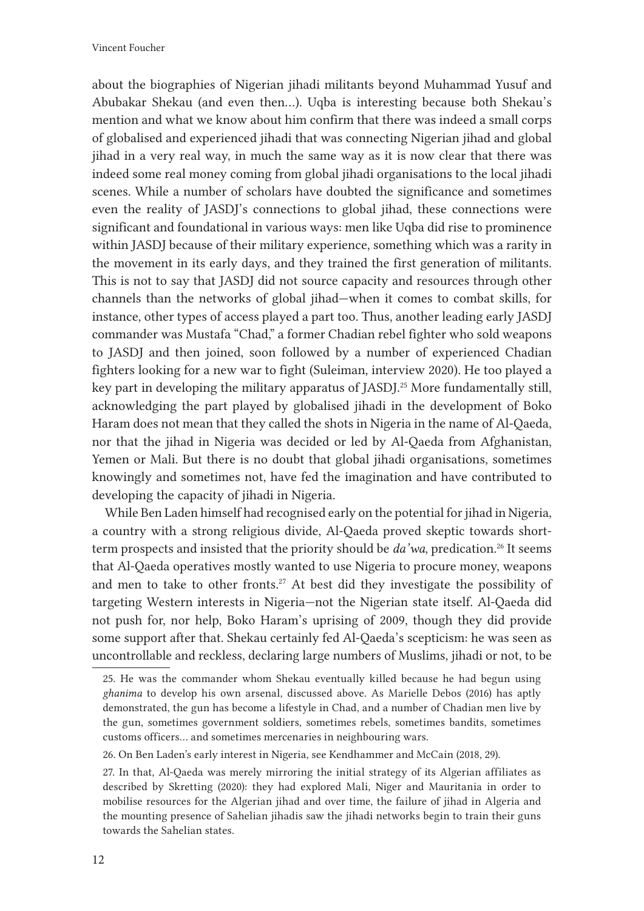about the biographies of Nigerian jihadi militants beyond Muhammad Yusuf and Abubakar Shekau (and even then…). Uqba is interesting because both Shekau's mention and what we know about him confirm that there was indeed a small corps of globalised and experienced jihadi that was connecting Nigerian jihad and global jihad in a very real way, in much the same way as it is now clear that there was indeed some real money coming from global jihadi organisations to the local jihadi scenes. While a number of scholars have doubted the significance and sometimes even the reality of JASDJ's connections to global jihad, these connections were significant and foundational in various ways: men like Uqba did rise to prominence within JASDJ because of their military experience, something which was a rarity in the movement in its early days, and they trained the first generation of militants. This is not to say that JASDJ did not source capacity and resources through other channels than the networks of global jihad—when it comes to combat skills, for instance, other types of access played a part too. Thus, another leading early JASDJ commander was Mustafa "Chad," a former Chadian rebel fighter who sold weapons to JASDJ and then joined, soon followed by a number of experienced Chadian fighters looking for a new war to fight (Suleiman, interview 2020). He too played a key part in developing the military apparatus of JASDJ.<sup>25</sup> More fundamentally still, acknowledging the part played by globalised jihadi in the development of Boko Haram does not mean that they called the shots in Nigeria in the name of Al-Qaeda, nor that the jihad in Nigeria was decided or led by Al-Qaeda from Afghanistan, Yemen or Mali. But there is no doubt that global jihadi organisations, sometimes knowingly and sometimes not, have fed the imagination and have contributed to developing the capacity of jihadi in Nigeria.

While Ben Laden himself had recognised early on the potential for jihad in Nigeria, a country with a strong religious divide, Al-Qaeda proved skeptic towards shortterm prospects and insisted that the priority should be *da'wa*, predication.<sup>26</sup> It seems that Al-Qaeda operatives mostly wanted to use Nigeria to procure money, weapons and men to take to other fronts.<sup>27</sup> At best did they investigate the possibility of targeting Western interests in Nigeria—not the Nigerian state itself. Al-Qaeda did not push for, nor help, Boko Haram's uprising of 2009, though they did provide some support after that. Shekau certainly fed Al-Qaeda's scepticism: he was seen as uncontrollable and reckless, declaring large numbers of Muslims, jihadi or not, to be

<sup>25.</sup> He was the commander whom Shekau eventually killed because he had begun using *ghanima* to develop his own arsenal, discussed above. As Marielle Debos (2016) has aptly demonstrated, the gun has become a lifestyle in Chad, and a number of Chadian men live by the gun, sometimes government soldiers, sometimes rebels, sometimes bandits, sometimes customs officers… and sometimes mercenaries in neighbouring wars.

<sup>26.</sup> On Ben Laden's early interest in Nigeria, see Kendhammer and McCain (2018, 29).

<sup>27.</sup> In that, Al-Qaeda was merely mirroring the initial strategy of its Algerian affiliates as described by Skretting (2020): they had explored Mali, Niger and Mauritania in order to mobilise resources for the Algerian jihad and over time, the failure of jihad in Algeria and the mounting presence of Sahelian jihadis saw the jihadi networks begin to train their guns towards the Sahelian states.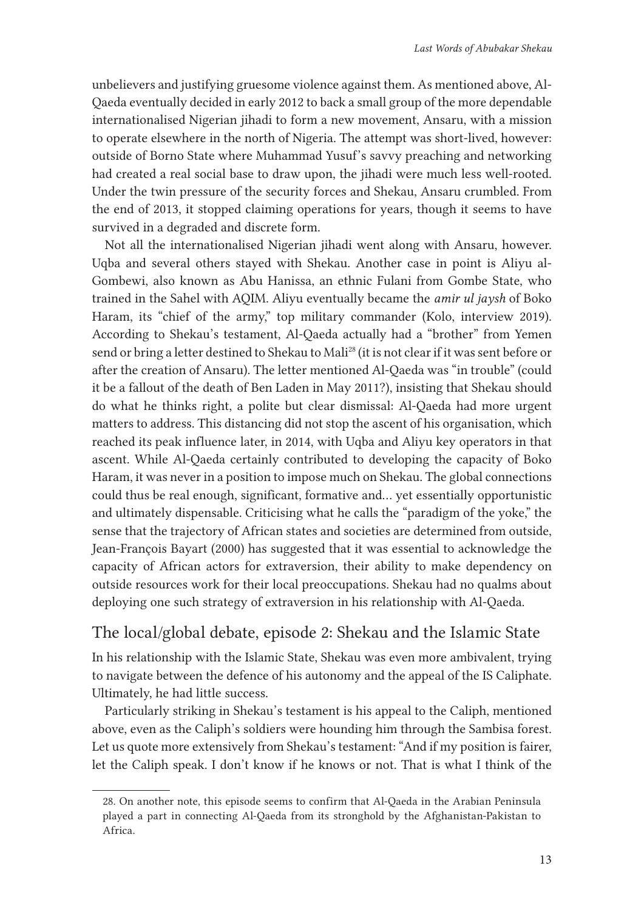unbelievers and justifying gruesome violence against them. As mentioned above, Al-Qaeda eventually decided in early 2012 to back a small group of the more dependable internationalised Nigerian jihadi to form a new movement, Ansaru, with a mission to operate elsewhere in the north of Nigeria. The attempt was short-lived, however: outside of Borno State where Muhammad Yusuf's savvy preaching and networking had created a real social base to draw upon, the jihadi were much less well-rooted. Under the twin pressure of the security forces and Shekau, Ansaru crumbled. From the end of 2013, it stopped claiming operations for years, though it seems to have survived in a degraded and discrete form.

Not all the internationalised Nigerian jihadi went along with Ansaru, however. Uqba and several others stayed with Shekau. Another case in point is Aliyu al-Gombewi, also known as Abu Hanissa, an ethnic Fulani from Gombe State, who trained in the Sahel with AQIM. Aliyu eventually became the *amir ul jaysh* of Boko Haram, its "chief of the army," top military commander (Kolo, interview 2019). According to Shekau's testament, Al-Qaeda actually had a "brother" from Yemen send or bring a letter destined to Shekau to Mali<sup>28</sup> (it is not clear if it was sent before or after the creation of Ansaru). The letter mentioned Al-Qaeda was "in trouble" (could it be a fallout of the death of Ben Laden in May 2011?), insisting that Shekau should do what he thinks right, a polite but clear dismissal: Al-Qaeda had more urgent matters to address. This distancing did not stop the ascent of his organisation, which reached its peak influence later, in 2014, with Uqba and Aliyu key operators in that ascent. While Al-Qaeda certainly contributed to developing the capacity of Boko Haram, it was never in a position to impose much on Shekau. The global connections could thus be real enough, significant, formative and… yet essentially opportunistic and ultimately dispensable. Criticising what he calls the "paradigm of the yoke," the sense that the trajectory of African states and societies are determined from outside, Jean-François Bayart (2000) has suggested that it was essential to acknowledge the capacity of African actors for extraversion, their ability to make dependency on outside resources work for their local preoccupations. Shekau had no qualms about deploying one such strategy of extraversion in his relationship with Al-Qaeda.

### The local/global debate, episode 2: Shekau and the Islamic State

In his relationship with the Islamic State, Shekau was even more ambivalent, trying to navigate between the defence of his autonomy and the appeal of the IS Caliphate. Ultimately, he had little success.

Particularly striking in Shekau's testament is his appeal to the Caliph, mentioned above, even as the Caliph's soldiers were hounding him through the Sambisa forest. Let us quote more extensively from Shekau's testament: "And if my position is fairer, let the Caliph speak. I don't know if he knows or not. That is what I think of the

<sup>28.</sup> On another note, this episode seems to confirm that Al-Qaeda in the Arabian Peninsula played a part in connecting Al-Qaeda from its stronghold by the Afghanistan-Pakistan to Africa.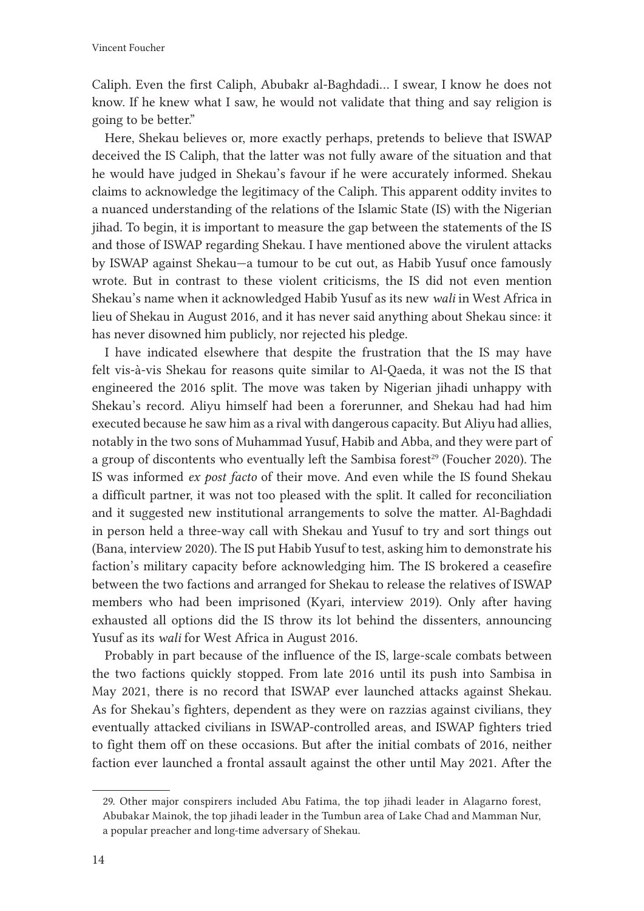Caliph. Even the first Caliph, Abubakr al-Baghdadi… I swear, I know he does not know. If he knew what I saw, he would not validate that thing and say religion is going to be better."

Here, Shekau believes or, more exactly perhaps, pretends to believe that ISWAP deceived the IS Caliph, that the latter was not fully aware of the situation and that he would have judged in Shekau's favour if he were accurately informed. Shekau claims to acknowledge the legitimacy of the Caliph. This apparent oddity invites to a nuanced understanding of the relations of the Islamic State (IS) with the Nigerian jihad. To begin, it is important to measure the gap between the statements of the IS and those of ISWAP regarding Shekau. I have mentioned above the virulent attacks by ISWAP against Shekau—a tumour to be cut out, as Habib Yusuf once famously wrote. But in contrast to these violent criticisms, the IS did not even mention Shekau's name when it acknowledged Habib Yusuf as its new *wali* in West Africa in lieu of Shekau in August 2016, and it has never said anything about Shekau since: it has never disowned him publicly, nor rejected his pledge.

I have indicated elsewhere that despite the frustration that the IS may have felt vis-à-vis Shekau for reasons quite similar to Al-Qaeda, it was not the IS that engineered the 2016 split. The move was taken by Nigerian jihadi unhappy with Shekau's record. Aliyu himself had been a forerunner, and Shekau had had him executed because he saw him as a rival with dangerous capacity. But Aliyu had allies, notably in the two sons of Muhammad Yusuf, Habib and Abba, and they were part of a group of discontents who eventually left the Sambisa forest<sup>29</sup> (Foucher 2020). The IS was informed *ex post facto* of their move. And even while the IS found Shekau a difficult partner, it was not too pleased with the split. It called for reconciliation and it suggested new institutional arrangements to solve the matter. Al-Baghdadi in person held a three-way call with Shekau and Yusuf to try and sort things out (Bana, interview 2020). The IS put Habib Yusuf to test, asking him to demonstrate his faction's military capacity before acknowledging him. The IS brokered a ceasefire between the two factions and arranged for Shekau to release the relatives of ISWAP members who had been imprisoned (Kyari, interview 2019). Only after having exhausted all options did the IS throw its lot behind the dissenters, announcing Yusuf as its *wali* for West Africa in August 2016.

Probably in part because of the influence of the IS, large-scale combats between the two factions quickly stopped. From late 2016 until its push into Sambisa in May 2021, there is no record that ISWAP ever launched attacks against Shekau. As for Shekau's fighters, dependent as they were on razzias against civilians, they eventually attacked civilians in ISWAP-controlled areas, and ISWAP fighters tried to fight them off on these occasions. But after the initial combats of 2016, neither faction ever launched a frontal assault against the other until May 2021. After the

<sup>29.</sup> Other major conspirers included Abu Fatima, the top jihadi leader in Alagarno forest, Abubakar Mainok, the top jihadi leader in the Tumbun area of Lake Chad and Mamman Nur, a popular preacher and long-time adversary of Shekau.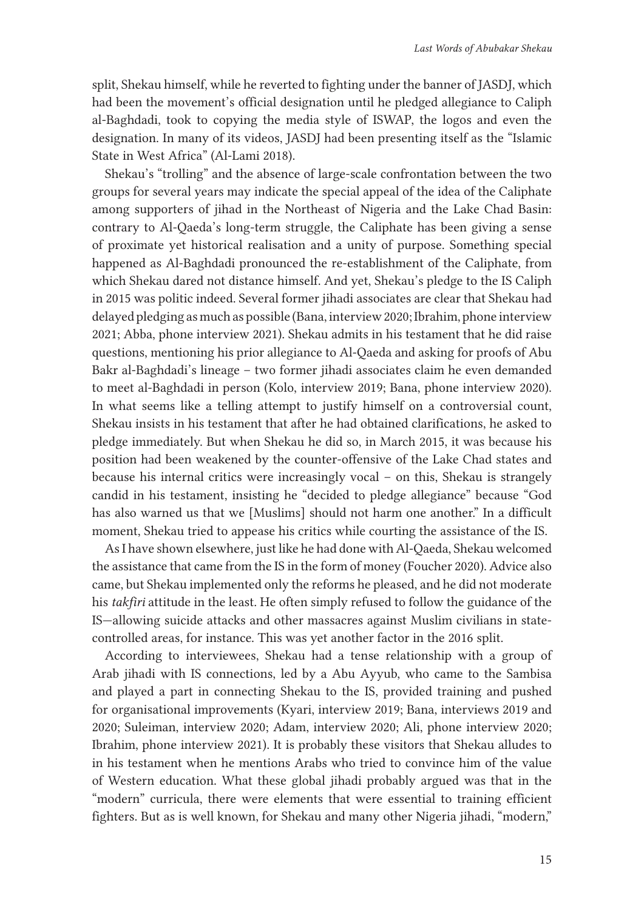split, Shekau himself, while he reverted to fighting under the banner of JASDJ, which had been the movement's official designation until he pledged allegiance to Caliph al-Baghdadi, took to copying the media style of ISWAP, the logos and even the designation. In many of its videos, JASDJ had been presenting itself as the "Islamic State in West Africa" (Al-Lami 2018).

Shekau's "trolling" and the absence of large-scale confrontation between the two groups for several years may indicate the special appeal of the idea of the Caliphate among supporters of jihad in the Northeast of Nigeria and the Lake Chad Basin: contrary to Al-Qaeda's long-term struggle, the Caliphate has been giving a sense of proximate yet historical realisation and a unity of purpose. Something special happened as Al-Baghdadi pronounced the re-establishment of the Caliphate, from which Shekau dared not distance himself. And yet, Shekau's pledge to the IS Caliph in 2015 was politic indeed. Several former jihadi associates are clear that Shekau had delayed pledging as much as possible (Bana, interview 2020; Ibrahim, phone interview 2021; Abba, phone interview 2021). Shekau admits in his testament that he did raise questions, mentioning his prior allegiance to Al-Qaeda and asking for proofs of Abu Bakr al-Baghdadi's lineage – two former jihadi associates claim he even demanded to meet al-Baghdadi in person (Kolo, interview 2019; Bana, phone interview 2020). In what seems like a telling attempt to justify himself on a controversial count, Shekau insists in his testament that after he had obtained clarifications, he asked to pledge immediately. But when Shekau he did so, in March 2015, it was because his position had been weakened by the counter-offensive of the Lake Chad states and because his internal critics were increasingly vocal – on this, Shekau is strangely candid in his testament, insisting he "decided to pledge allegiance" because "God has also warned us that we [Muslims] should not harm one another." In a difficult moment, Shekau tried to appease his critics while courting the assistance of the IS.

As I have shown elsewhere, just like he had done with Al-Qaeda, Shekau welcomed the assistance that came from the IS in the form of money (Foucher 2020). Advice also came, but Shekau implemented only the reforms he pleased, and he did not moderate his *takfiri* attitude in the least. He often simply refused to follow the guidance of the IS—allowing suicide attacks and other massacres against Muslim civilians in statecontrolled areas, for instance. This was yet another factor in the 2016 split.

According to interviewees, Shekau had a tense relationship with a group of Arab jihadi with IS connections, led by a Abu Ayyub, who came to the Sambisa and played a part in connecting Shekau to the IS, provided training and pushed for organisational improvements (Kyari, interview 2019; Bana, interviews 2019 and 2020; Suleiman, interview 2020; Adam, interview 2020; Ali, phone interview 2020; Ibrahim, phone interview 2021). It is probably these visitors that Shekau alludes to in his testament when he mentions Arabs who tried to convince him of the value of Western education. What these global jihadi probably argued was that in the "modern" curricula, there were elements that were essential to training efficient fighters. But as is well known, for Shekau and many other Nigeria jihadi, "modern,"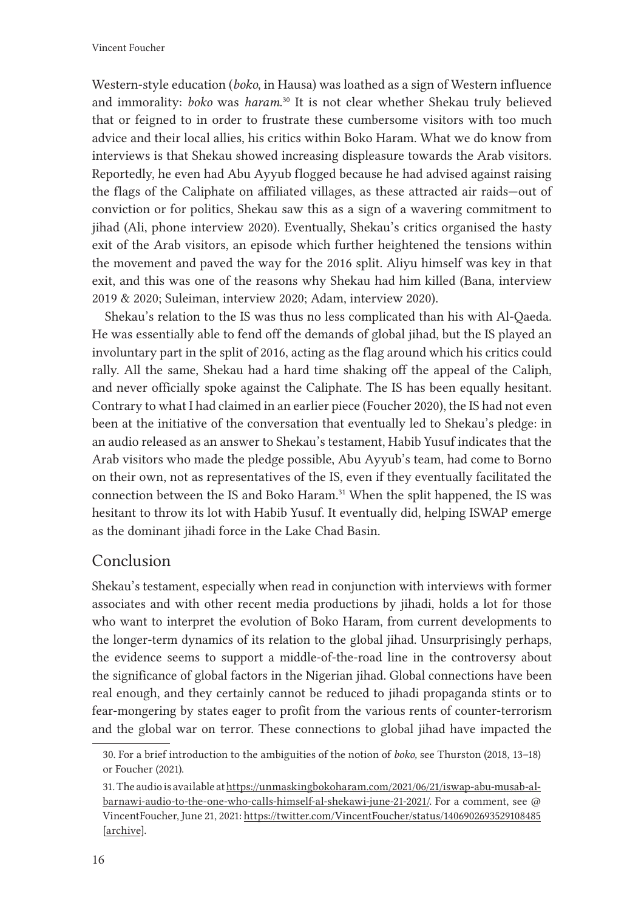Western-style education (*boko*, in Hausa) was loathed as a sign of Western influence and immorality: *boko* was *haram*. <sup>30</sup> It is not clear whether Shekau truly believed that or feigned to in order to frustrate these cumbersome visitors with too much advice and their local allies, his critics within Boko Haram. What we do know from interviews is that Shekau showed increasing displeasure towards the Arab visitors. Reportedly, he even had Abu Ayyub flogged because he had advised against raising the flags of the Caliphate on affiliated villages, as these attracted air raids—out of conviction or for politics, Shekau saw this as a sign of a wavering commitment to jihad (Ali, phone interview 2020). Eventually, Shekau's critics organised the hasty exit of the Arab visitors, an episode which further heightened the tensions within the movement and paved the way for the 2016 split. Aliyu himself was key in that exit, and this was one of the reasons why Shekau had him killed (Bana, interview 2019 & 2020; Suleiman, interview 2020; Adam, interview 2020).

Shekau's relation to the IS was thus no less complicated than his with Al-Qaeda. He was essentially able to fend off the demands of global jihad, but the IS played an involuntary part in the split of 2016, acting as the flag around which his critics could rally. All the same, Shekau had a hard time shaking off the appeal of the Caliph, and never officially spoke against the Caliphate. The IS has been equally hesitant. Contrary to what I had claimed in an earlier piece (Foucher 2020), the IS had not even been at the initiative of the conversation that eventually led to Shekau's pledge: in an audio released as an answer to Shekau's testament, Habib Yusuf indicates that the Arab visitors who made the pledge possible, Abu Ayyub's team, had come to Borno on their own, not as representatives of the IS, even if they eventually facilitated the connection between the IS and Boko Haram.<sup>31</sup> When the split happened, the IS was hesitant to throw its lot with Habib Yusuf. It eventually did, helping ISWAP emerge as the dominant jihadi force in the Lake Chad Basin.

### Conclusion

Shekau's testament, especially when read in conjunction with interviews with former associates and with other recent media productions by jihadi, holds a lot for those who want to interpret the evolution of Boko Haram, from current developments to the longer-term dynamics of its relation to the global jihad. Unsurprisingly perhaps, the evidence seems to support a middle-of-the-road line in the controversy about the significance of global factors in the Nigerian jihad. Global connections have been real enough, and they certainly cannot be reduced to jihadi propaganda stints or to fear-mongering by states eager to profit from the various rents of counter-terrorism and the global war on terror. These connections to global jihad have impacted the

<sup>30.</sup> For a brief introduction to the ambiguities of the notion of *boko,* see Thurston (2018, 13–18) or Foucher (2021).

<sup>31.</sup> The audio is available at [https://unmaskingbokoharam.com/2021/06/21/iswap-abu-musab-al](https://unmaskingbokoharam.com/2021/06/21/iswap-abu-musab-al-barnawi-audio-to-the-one-who-calls-himself-al-shekawi-june-21-2021/)[barnawi-audio-to-the-one-who-calls-himself-al-shekawi-june-21-2021/.](https://unmaskingbokoharam.com/2021/06/21/iswap-abu-musab-al-barnawi-audio-to-the-one-who-calls-himself-al-shekawi-june-21-2021/) For a comment, see @ VincentFoucher, June 21, 2021:<https://twitter.com/VincentFoucher/status/1406902693529108485> [\[archive](https://web.archive.org/web/20210621164856/https:/twitter.com/VincentFoucher/status/1406902693529108485)].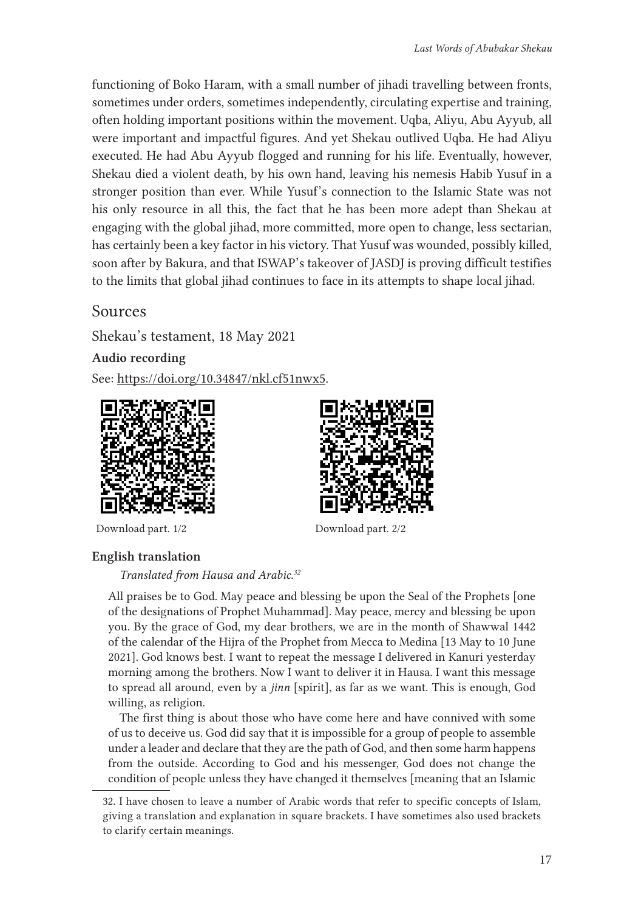functioning of Boko Haram, with a small number of jihadi travelling between fronts, sometimes under orders, sometimes independently, circulating expertise and training, often holding important positions within the movement. Uqba, Aliyu, Abu Ayyub, all were important and impactful figures. And yet Shekau outlived Uqba. He had Aliyu executed. He had Abu Ayyub flogged and running for his life. Eventually, however, Shekau died a violent death, by his own hand, leaving his nemesis Habib Yusuf in a stronger position than ever. While Yusuf's connection to the Islamic State was not his only resource in all this, the fact that he has been more adept than Shekau at engaging with the global jihad, more committed, more open to change, less sectarian, has certainly been a key factor in his victory. That Yusuf was wounded, possibly killed, soon after by Bakura, and that ISWAP's takeover of JASDJ is proving difficult testifies to the limits that global jihad continues to face in its attempts to shape local jihad.

Sources

Shekau's testament, 18 May 2021

Audio recording

See:<https://doi.org/10.34847/nkl.cf51nwx5>.



Download part. 1/2 Download part. 2/2

### English translation

*Translated from Hausa and Arabic.<sup>32</sup>*

All praises be to God. May peace and blessing be upon the Seal of the Prophets [one of the designations of Prophet Muhammad]. May peace, mercy and blessing be upon you. By the grace of God, my dear brothers, we are in the month of Shawwal 1442 of the calendar of the Hijra of the Prophet from Mecca to Medina [13 May to 10 June 2021]. God knows best. I want to repeat the message I delivered in Kanuri yesterday morning among the brothers. Now I want to deliver it in Hausa. I want this message to spread all around, even by a *jinn* [spirit], as far as we want. This is enough, God willing, as religion.

The first thing is about those who have come here and have connived with some of us to deceive us. God did say that it is impossible for a group of people to assemble under a leader and declare that they are the path of God, and then some harm happens from the outside. According to God and his messenger, God does not change the condition of people unless they have changed it themselves [meaning that an Islamic

<sup>32.</sup> I have chosen to leave a number of Arabic words that refer to specific concepts of Islam, giving a translation and explanation in square brackets. I have sometimes also used brackets to clarify certain meanings.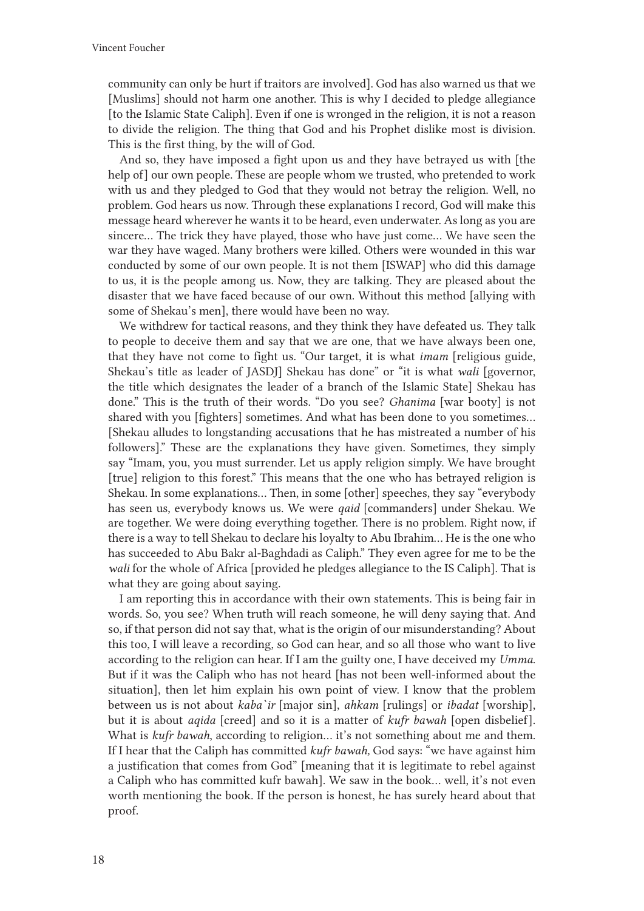community can only be hurt if traitors are involved]. God has also warned us that we [Muslims] should not harm one another. This is why I decided to pledge allegiance [to the Islamic State Caliph]. Even if one is wronged in the religion, it is not a reason to divide the religion. The thing that God and his Prophet dislike most is division. This is the first thing, by the will of God.

And so, they have imposed a fight upon us and they have betrayed us with [the help of] our own people. These are people whom we trusted, who pretended to work with us and they pledged to God that they would not betray the religion. Well, no problem. God hears us now. Through these explanations I record, God will make this message heard wherever he wants it to be heard, even underwater. As long as you are sincere… The trick they have played, those who have just come… We have seen the war they have waged. Many brothers were killed. Others were wounded in this war conducted by some of our own people. It is not them [ISWAP] who did this damage to us, it is the people among us. Now, they are talking. They are pleased about the disaster that we have faced because of our own. Without this method [allying with some of Shekau's men], there would have been no way.

We withdrew for tactical reasons, and they think they have defeated us. They talk to people to deceive them and say that we are one, that we have always been one, that they have not come to fight us. "Our target, it is what *imam* [religious guide, Shekau's title as leader of JASDJ] Shekau has done" or "it is what *wali* [governor, the title which designates the leader of a branch of the Islamic State] Shekau has done." This is the truth of their words. "Do you see? *Ghanima* [war booty] is not shared with you [fighters] sometimes. And what has been done to you sometimes… [Shekau alludes to longstanding accusations that he has mistreated a number of his followers]." These are the explanations they have given. Sometimes, they simply say "Imam, you, you must surrender. Let us apply religion simply. We have brought [true] religion to this forest." This means that the one who has betrayed religion is Shekau. In some explanations… Then, in some [other] speeches, they say "everybody has seen us, everybody knows us. We were *qaid* [commanders] under Shekau. We are together. We were doing everything together. There is no problem. Right now, if there is a way to tell Shekau to declare his loyalty to Abu Ibrahim… He is the one who has succeeded to Abu Bakr al-Baghdadi as Caliph." They even agree for me to be the *wali* for the whole of Africa [provided he pledges allegiance to the IS Caliph]. That is what they are going about saying.

I am reporting this in accordance with their own statements. This is being fair in words. So, you see? When truth will reach someone, he will deny saying that. And so, if that person did not say that, what is the origin of our misunderstanding? About this too, I will leave a recording, so God can hear, and so all those who want to live according to the religion can hear. If I am the guilty one, I have deceived my *Umma*. But if it was the Caliph who has not heard [has not been well-informed about the situation], then let him explain his own point of view. I know that the problem between us is not about *kaba`ir* [major sin], *ahkam* [rulings] or *ibadat* [worship], but it is about *aqida* [creed] and so it is a matter of *kufr bawah* [open disbelief]. What is *kufr bawah*, according to religion… it's not something about me and them. If I hear that the Caliph has committed *kufr bawah,* God says: "we have against him a justification that comes from God" [meaning that it is legitimate to rebel against a Caliph who has committed kufr bawah]. We saw in the book… well, it's not even worth mentioning the book. If the person is honest, he has surely heard about that proof.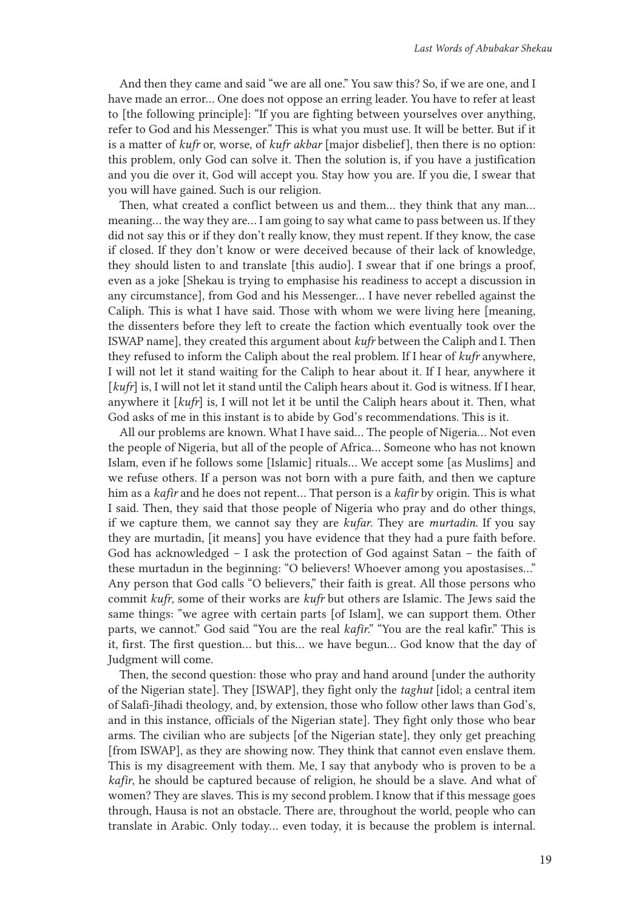And then they came and said "we are all one." You saw this? So, if we are one, and I have made an error… One does not oppose an erring leader. You have to refer at least to [the following principle]: "If you are fighting between yourselves over anything, refer to God and his Messenger." This is what you must use. It will be better. But if it is a matter of *kufr* or, worse, of *kufr akbar* [major disbelief], then there is no option: this problem, only God can solve it. Then the solution is, if you have a justification and you die over it, God will accept you. Stay how you are. If you die, I swear that you will have gained. Such is our religion.

Then, what created a conflict between us and them… they think that any man… meaning… the way they are… I am going to say what came to pass between us. If they did not say this or if they don't really know, they must repent. If they know, the case if closed. If they don't know or were deceived because of their lack of knowledge, they should listen to and translate [this audio]. I swear that if one brings a proof, even as a joke [Shekau is trying to emphasise his readiness to accept a discussion in any circumstance], from God and his Messenger… I have never rebelled against the Caliph. This is what I have said. Those with whom we were living here [meaning, the dissenters before they left to create the faction which eventually took over the ISWAP name], they created this argument about *kufr* between the Caliph and I. Then they refused to inform the Caliph about the real problem. If I hear of *kufr* anywhere, I will not let it stand waiting for the Caliph to hear about it. If I hear, anywhere it [ $kufr$ ] is, I will not let it stand until the Caliph hears about it. God is witness. If I hear, anywhere it [*kufr*] is, I will not let it be until the Caliph hears about it. Then, what God asks of me in this instant is to abide by God's recommendations. This is it.

All our problems are known. What I have said… The people of Nigeria… Not even the people of Nigeria, but all of the people of Africa… Someone who has not known Islam, even if he follows some [Islamic] rituals… We accept some [as Muslims] and we refuse others. If a person was not born with a pure faith, and then we capture him as a *kafir* and he does not repent… That person is a *kafir* by origin. This is what I said. Then, they said that those people of Nigeria who pray and do other things, if we capture them, we cannot say they are *kufar*. They are *murtadin*. If you say they are murtadin, [it means] you have evidence that they had a pure faith before. God has acknowledged – I ask the protection of God against Satan – the faith of these murtadun in the beginning: "O believers! Whoever among you apostasises…" Any person that God calls "O believers," their faith is great. All those persons who commit *kufr*, some of their works are *kufr* but others are Islamic. The Jews said the same things: "we agree with certain parts [of Islam], we can support them. Other parts, we cannot." God said "You are the real *kafir*." "You are the real kafir." This is it, first. The first question… but this… we have begun… God know that the day of Judgment will come.

Then, the second question: those who pray and hand around [under the authority of the Nigerian state]. They [ISWAP], they fight only the *taghut* [idol; a central item of Salafi-Jihadi theology, and, by extension, those who follow other laws than God's, and in this instance, officials of the Nigerian state]. They fight only those who bear arms. The civilian who are subjects [of the Nigerian state], they only get preaching [from ISWAP], as they are showing now. They think that cannot even enslave them. This is my disagreement with them. Me, I say that anybody who is proven to be a *kafir*, he should be captured because of religion, he should be a slave. And what of women? They are slaves. This is my second problem. I know that if this message goes through, Hausa is not an obstacle. There are, throughout the world, people who can translate in Arabic. Only today… even today, it is because the problem is internal.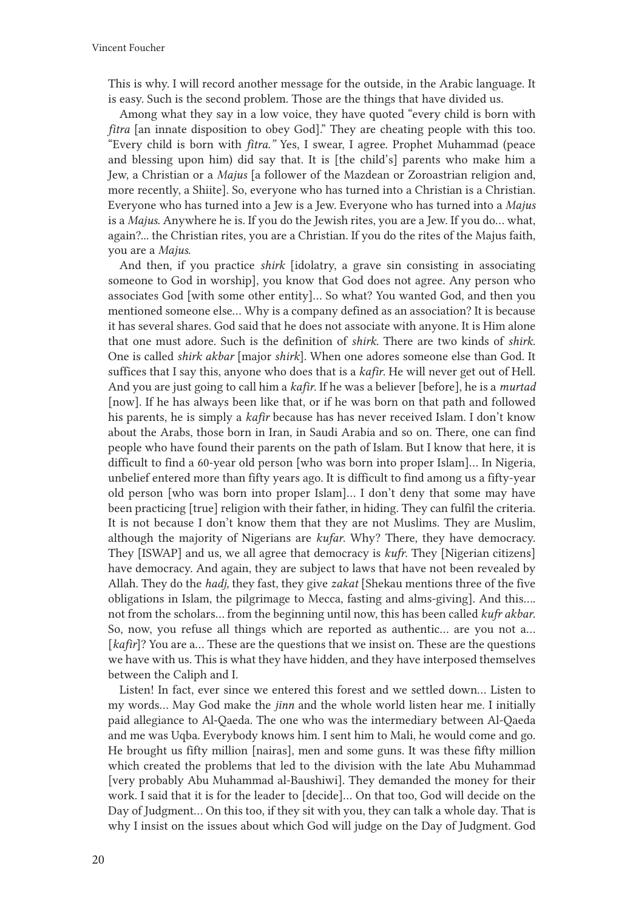This is why. I will record another message for the outside, in the Arabic language. It is easy. Such is the second problem. Those are the things that have divided us.

Among what they say in a low voice, they have quoted "every child is born with *fitra* [an innate disposition to obey God]." They are cheating people with this too. "Every child is born with *fitra."* Yes, I swear, I agree. Prophet Muhammad (peace and blessing upon him) did say that. It is [the child's] parents who make him a Jew, a Christian or a *Majus* [a follower of the Mazdean or Zoroastrian religion and, more recently, a Shiite]. So, everyone who has turned into a Christian is a Christian. Everyone who has turned into a Jew is a Jew. Everyone who has turned into a *Majus* is a *Majus*. Anywhere he is. If you do the Jewish rites, you are a Jew. If you do… what, again?... the Christian rites, you are a Christian. If you do the rites of the Majus faith, you are a *Majus*.

And then, if you practice *shirk* [idolatry, a grave sin consisting in associating someone to God in worship], you know that God does not agree. Any person who associates God [with some other entity]… So what? You wanted God, and then you mentioned someone else… Why is a company defined as an association? It is because it has several shares. God said that he does not associate with anyone. It is Him alone that one must adore. Such is the definition of *shirk.* There are two kinds of *shirk*. One is called *shirk akbar* [major *shirk*]. When one adores someone else than God. It suffices that I say this, anyone who does that is a *kafir*. He will never get out of Hell. And you are just going to call him a *kafir*. If he was a believer [before], he is a *murtad* [now]. If he has always been like that, or if he was born on that path and followed his parents, he is simply a *kafir* because has has never received Islam. I don't know about the Arabs, those born in Iran, in Saudi Arabia and so on. There, one can find people who have found their parents on the path of Islam. But I know that here, it is difficult to find a 60-year old person [who was born into proper Islam]… In Nigeria, unbelief entered more than fifty years ago. It is difficult to find among us a fifty-year old person [who was born into proper Islam]… I don't deny that some may have been practicing [true] religion with their father, in hiding. They can fulfil the criteria. It is not because I don't know them that they are not Muslims. They are Muslim, although the majority of Nigerians are *kufar*. Why? There, they have democracy. They [ISWAP] and us, we all agree that democracy is *kufr*. They [Nigerian citizens] have democracy. And again, they are subject to laws that have not been revealed by Allah. They do the *hadj,* they fast, they give *zakat* [Shekau mentions three of the five obligations in Islam, the pilgrimage to Mecca, fasting and alms-giving]. And this…. not from the scholars… from the beginning until now, this has been called *kufr akbar*. So, now, you refuse all things which are reported as authentic… are you not a… [kafir]? You are a... These are the questions that we insist on. These are the questions we have with us. This is what they have hidden, and they have interposed themselves between the Caliph and I.

Listen! In fact, ever since we entered this forest and we settled down… Listen to my words… May God make the *jinn* and the whole world listen hear me. I initially paid allegiance to Al-Qaeda. The one who was the intermediary between Al-Qaeda and me was Uqba. Everybody knows him. I sent him to Mali, he would come and go. He brought us fifty million [nairas], men and some guns. It was these fifty million which created the problems that led to the division with the late Abu Muhammad [very probably Abu Muhammad al-Baushiwi]. They demanded the money for their work. I said that it is for the leader to [decide]… On that too, God will decide on the Day of Judgment… On this too, if they sit with you, they can talk a whole day. That is why I insist on the issues about which God will judge on the Day of Judgment. God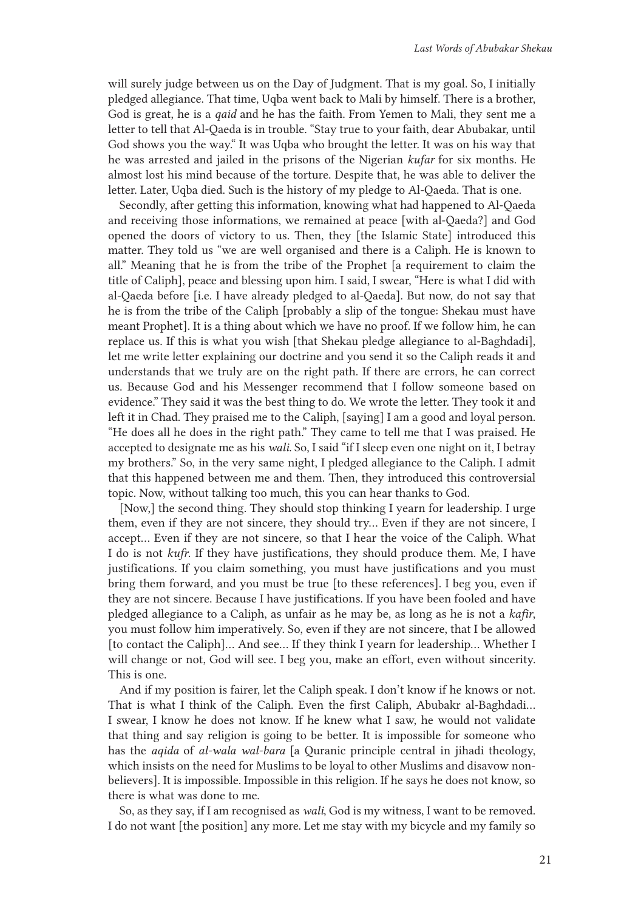will surely judge between us on the Day of Judgment. That is my goal. So, I initially pledged allegiance. That time, Uqba went back to Mali by himself. There is a brother, God is great, he is a *qaid* and he has the faith. From Yemen to Mali, they sent me a letter to tell that Al-Qaeda is in trouble. "Stay true to your faith, dear Abubakar, until God shows you the way." It was Uqba who brought the letter. It was on his way that he was arrested and jailed in the prisons of the Nigerian *kufar* for six months. He almost lost his mind because of the torture. Despite that, he was able to deliver the letter. Later, Uqba died. Such is the history of my pledge to Al-Qaeda. That is one.

Secondly, after getting this information, knowing what had happened to Al-Qaeda and receiving those informations, we remained at peace [with al-Qaeda?] and God opened the doors of victory to us. Then, they [the Islamic State] introduced this matter. They told us "we are well organised and there is a Caliph. He is known to all." Meaning that he is from the tribe of the Prophet [a requirement to claim the title of Caliph], peace and blessing upon him. I said, I swear, "Here is what I did with al-Qaeda before [i.e. I have already pledged to al-Qaeda]. But now, do not say that he is from the tribe of the Caliph [probably a slip of the tongue: Shekau must have meant Prophet]. It is a thing about which we have no proof. If we follow him, he can replace us. If this is what you wish [that Shekau pledge allegiance to al-Baghdadi], let me write letter explaining our doctrine and you send it so the Caliph reads it and understands that we truly are on the right path. If there are errors, he can correct us. Because God and his Messenger recommend that I follow someone based on evidence." They said it was the best thing to do. We wrote the letter. They took it and left it in Chad. They praised me to the Caliph, [saying] I am a good and loyal person. "He does all he does in the right path." They came to tell me that I was praised. He accepted to designate me as his *wali*. So, I said "if I sleep even one night on it, I betray my brothers." So, in the very same night, I pledged allegiance to the Caliph. I admit that this happened between me and them. Then, they introduced this controversial topic. Now, without talking too much, this you can hear thanks to God.

[Now,] the second thing. They should stop thinking I yearn for leadership. I urge them, even if they are not sincere, they should try… Even if they are not sincere, I accept… Even if they are not sincere, so that I hear the voice of the Caliph. What I do is not *kufr*. If they have justifications, they should produce them. Me, I have justifications. If you claim something, you must have justifications and you must bring them forward, and you must be true [to these references]. I beg you, even if they are not sincere. Because I have justifications. If you have been fooled and have pledged allegiance to a Caliph, as unfair as he may be, as long as he is not a *kafir*, you must follow him imperatively. So, even if they are not sincere, that I be allowed [to contact the Caliph]… And see… If they think I yearn for leadership… Whether I will change or not, God will see. I beg you, make an effort, even without sincerity. This is one.

And if my position is fairer, let the Caliph speak. I don't know if he knows or not. That is what I think of the Caliph. Even the first Caliph, Abubakr al-Baghdadi… I swear, I know he does not know. If he knew what I saw, he would not validate that thing and say religion is going to be better. It is impossible for someone who has the *aqida* of *al-wala wal-bara* [a Quranic principle central in jihadi theology, which insists on the need for Muslims to be loyal to other Muslims and disavow nonbelievers]. It is impossible. Impossible in this religion. If he says he does not know, so there is what was done to me.

So, as they say, if I am recognised as *wali*, God is my witness, I want to be removed. I do not want [the position] any more. Let me stay with my bicycle and my family so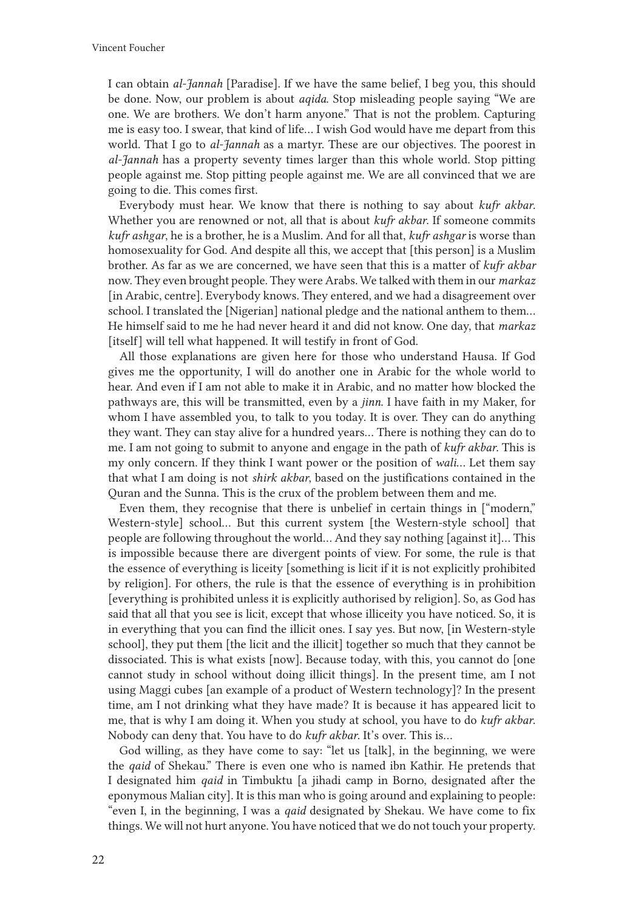I can obtain *al-Jannah* [Paradise]. If we have the same belief, I beg you, this should be done. Now, our problem is about *aqida*. Stop misleading people saying "We are one. We are brothers. We don't harm anyone." That is not the problem. Capturing me is easy too. I swear, that kind of life… I wish God would have me depart from this world. That I go to *al-Jannah* as a martyr. These are our objectives. The poorest in *al-Jannah* has a property seventy times larger than this whole world. Stop pitting people against me. Stop pitting people against me. We are all convinced that we are going to die. This comes first.

Everybody must hear. We know that there is nothing to say about *kufr akbar.*  Whether you are renowned or not, all that is about *kufr akbar*. If someone commits *kufr ashgar*, he is a brother, he is a Muslim. And for all that, *kufr ashgar* is worse than homosexuality for God. And despite all this, we accept that [this person] is a Muslim brother. As far as we are concerned, we have seen that this is a matter of *kufr akbar*  now. They even brought people. They were Arabs. We talked with them in our *markaz* [in Arabic, centre]. Everybody knows. They entered, and we had a disagreement over school. I translated the [Nigerian] national pledge and the national anthem to them… He himself said to me he had never heard it and did not know. One day, that *markaz* [itself] will tell what happened. It will testify in front of God.

All those explanations are given here for those who understand Hausa. If God gives me the opportunity, I will do another one in Arabic for the whole world to hear. And even if I am not able to make it in Arabic, and no matter how blocked the pathways are, this will be transmitted, even by a *jinn*. I have faith in my Maker, for whom I have assembled you, to talk to you today. It is over. They can do anything they want. They can stay alive for a hundred years… There is nothing they can do to me. I am not going to submit to anyone and engage in the path of *kufr akbar*. This is my only concern. If they think I want power or the position of *wali*… Let them say that what I am doing is not *shirk akbar*, based on the justifications contained in the Quran and the Sunna. This is the crux of the problem between them and me.

Even them, they recognise that there is unbelief in certain things in ["modern," Western-style] school… But this current system [the Western-style school] that people are following throughout the world… And they say nothing [against it]… This is impossible because there are divergent points of view. For some, the rule is that the essence of everything is liceity [something is licit if it is not explicitly prohibited by religion]. For others, the rule is that the essence of everything is in prohibition [everything is prohibited unless it is explicitly authorised by religion]. So, as God has said that all that you see is licit, except that whose illiceity you have noticed. So, it is in everything that you can find the illicit ones. I say yes. But now, [in Western-style school], they put them [the licit and the illicit] together so much that they cannot be dissociated. This is what exists [now]. Because today, with this, you cannot do [one cannot study in school without doing illicit things]. In the present time, am I not using Maggi cubes [an example of a product of Western technology]? In the present time, am I not drinking what they have made? It is because it has appeared licit to me, that is why I am doing it. When you study at school, you have to do *kufr akbar*. Nobody can deny that. You have to do *kufr akbar*. It's over. This is…

God willing, as they have come to say: "let us [talk], in the beginning, we were the *qaid* of Shekau." There is even one who is named ibn Kathir. He pretends that I designated him *qaid* in Timbuktu [a jihadi camp in Borno, designated after the eponymous Malian city]. It is this man who is going around and explaining to people: "even I, in the beginning, I was a *qaid* designated by Shekau. We have come to fix things. We will not hurt anyone. You have noticed that we do not touch your property.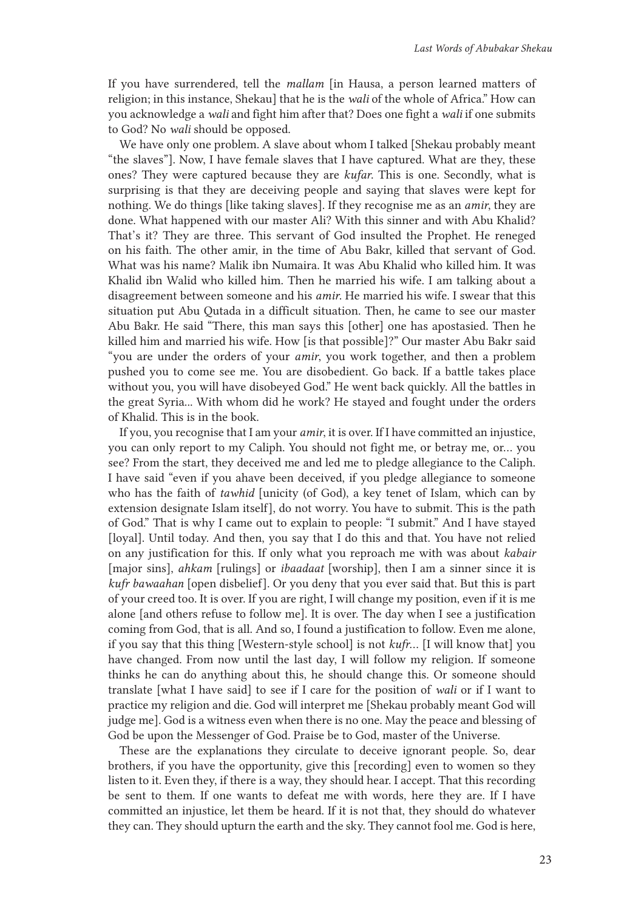If you have surrendered, tell the *mallam* [in Hausa, a person learned matters of religion; in this instance, Shekau] that he is the *wali* of the whole of Africa." How can you acknowledge a *wali* and fight him after that? Does one fight a *wali* if one submits to God? No *wali* should be opposed.

We have only one problem. A slave about whom I talked [Shekau probably meant "the slaves"]. Now, I have female slaves that I have captured. What are they, these ones? They were captured because they are *kufar*. This is one. Secondly, what is surprising is that they are deceiving people and saying that slaves were kept for nothing. We do things [like taking slaves]. If they recognise me as an *amir*, they are done. What happened with our master Ali? With this sinner and with Abu Khalid? That's it? They are three. This servant of God insulted the Prophet. He reneged on his faith. The other amir, in the time of Abu Bakr, killed that servant of God. What was his name? Malik ibn Numaira. It was Abu Khalid who killed him. It was Khalid ibn Walid who killed him. Then he married his wife. I am talking about a disagreement between someone and his *amir*. He married his wife. I swear that this situation put Abu Qutada in a difficult situation. Then, he came to see our master Abu Bakr. He said "There, this man says this [other] one has apostasied. Then he killed him and married his wife. How [is that possible]?" Our master Abu Bakr said "you are under the orders of your *amir*, you work together, and then a problem pushed you to come see me. You are disobedient. Go back. If a battle takes place without you, you will have disobeyed God." He went back quickly. All the battles in the great Syria... With whom did he work? He stayed and fought under the orders of Khalid. This is in the book.

If you, you recognise that I am your *amir*, it is over. If I have committed an injustice, you can only report to my Caliph. You should not fight me, or betray me, or… you see? From the start, they deceived me and led me to pledge allegiance to the Caliph. I have said "even if you ahave been deceived, if you pledge allegiance to someone who has the faith of *tawhid* [unicity (of God), a key tenet of Islam, which can by extension designate Islam itself], do not worry. You have to submit. This is the path of God." That is why I came out to explain to people: "I submit." And I have stayed [loyal]. Until today. And then, you say that I do this and that. You have not relied on any justification for this. If only what you reproach me with was about *kabair* [major sins], *ahkam* [rulings] or *ibaadaat* [worship], then I am a sinner since it is *kufr bawaahan* [open disbelief]. Or you deny that you ever said that. But this is part of your creed too. It is over. If you are right, I will change my position, even if it is me alone [and others refuse to follow me]. It is over. The day when I see a justification coming from God, that is all. And so, I found a justification to follow. Even me alone, if you say that this thing [Western-style school] is not *kufr*… [I will know that] you have changed. From now until the last day, I will follow my religion. If someone thinks he can do anything about this, he should change this. Or someone should translate [what I have said] to see if I care for the position of *wali* or if I want to practice my religion and die. God will interpret me [Shekau probably meant God will judge me]. God is a witness even when there is no one. May the peace and blessing of God be upon the Messenger of God. Praise be to God, master of the Universe.

These are the explanations they circulate to deceive ignorant people. So, dear brothers, if you have the opportunity, give this [recording] even to women so they listen to it. Even they, if there is a way, they should hear. I accept. That this recording be sent to them. If one wants to defeat me with words, here they are. If I have committed an injustice, let them be heard. If it is not that, they should do whatever they can. They should upturn the earth and the sky. They cannot fool me. God is here,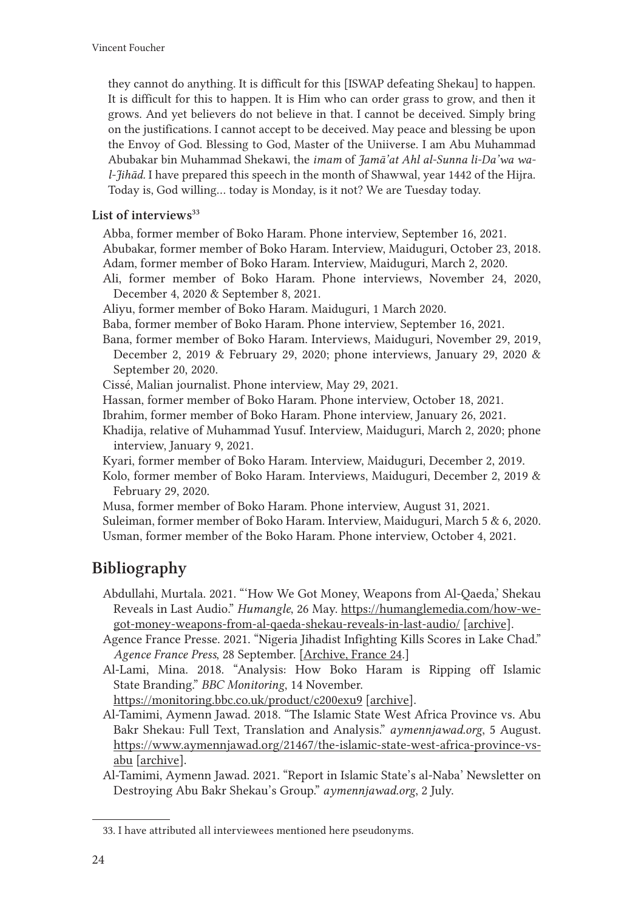they cannot do anything. It is difficult for this [ISWAP defeating Shekau] to happen. It is difficult for this to happen. It is Him who can order grass to grow, and then it grows. And yet believers do not believe in that. I cannot be deceived. Simply bring on the justifications. I cannot accept to be deceived. May peace and blessing be upon the Envoy of God. Blessing to God, Master of the Uniiverse. I am Abu Muhammad Abubakar bin Muhammad Shekawi, the *imam* of *Jamā'at Ahl al-Sunna li-Da'wa wal-Jihād.* I have prepared this speech in the month of Shawwal, year 1442 of the Hijra. Today is, God willing… today is Monday, is it not? We are Tuesday today.

#### List of interviews $33$

Abba, former member of Boko Haram. Phone interview, September 16, 2021. Abubakar, former member of Boko Haram. Interview, Maiduguri, October 23, 2018.

Adam, former member of Boko Haram. Interview, Maiduguri, March 2, 2020.

- Ali, former member of Boko Haram. Phone interviews, November 24, 2020, December 4, 2020 & September 8, 2021.
- Aliyu, former member of Boko Haram. Maiduguri, 1 March 2020.
- Baba, former member of Boko Haram. Phone interview, September 16, 2021.

Bana, former member of Boko Haram. Interviews, Maiduguri, November 29, 2019, December 2, 2019 & February 29, 2020; phone interviews, January 29, 2020 & September 20, 2020.

Cissé, Malian journalist. Phone interview, May 29, 2021.

Hassan, former member of Boko Haram. Phone interview, October 18, 2021.

- Ibrahim, former member of Boko Haram. Phone interview, January 26, 2021.
- Khadija, relative of Muhammad Yusuf. Interview, Maiduguri, March 2, 2020; phone interview, January 9, 2021.

Kyari, former member of Boko Haram. Interview, Maiduguri, December 2, 2019.

Kolo, former member of Boko Haram. Interviews, Maiduguri, December 2, 2019 & February 29, 2020.

Musa, former member of Boko Haram. Phone interview, August 31, 2021.

Suleiman, former member of Boko Haram. Interview, Maiduguri, March 5 & 6, 2020. Usman, former member of the Boko Haram. Phone interview, October 4, 2021.

### Bibliography

Abdullahi, Murtala. 2021. "'How We Got Money, Weapons from Al-Qaeda,' Shekau Reveals in Last Audio." *Humangle*, 26 May. [https://humanglemedia.com/how-we](https://humanglemedia.com/how-we-got-money-weapons-from-al-qaeda-shekau-reveals-in-last-audio/)[got-money-weapons-from-al-qaeda-shekau-reveals-in-last-audio/](https://humanglemedia.com/how-we-got-money-weapons-from-al-qaeda-shekau-reveals-in-last-audio/) [\[archive](https://web.archive.org/web/20211123154853/https:/humanglemedia.com/how-we-got-money-weapons-from-al-qaeda-shekau-reveals-in-last-audio/)].

Agence France Presse. 2021. "Nigeria Jihadist Infighting Kills Scores in Lake Chad." *Agence France Press*, 28 September. [[Archive, France 24.](https://web.archive.org/web/20211029052607/https:/www.france24.com/en/live-news/20210928-nigeria-jihadist-infighting-kills-scores-in-lake-chad)]

Al-Lami, Mina. 2018. "Analysis: How Boko Haram is Ripping off Islamic State Branding." *BBC Monitoring*, 14 November.

<https://monitoring.bbc.co.uk/product/c200exu9> [\[archive](https://web.archive.org/web/20190904045313/https:/monitoring.bbc.co.uk/product/c200exu9)].

Al-Tamimi, Aymenn Jawad. 2018. "The Islamic State West Africa Province vs. Abu Bakr Shekau: Full Text, Translation and Analysis." *aymennjawad.org*, 5 August. [https://www.aymennjawad.org/21467/the-islamic-state-west-africa-province-vs](https://www.aymennjawad.org/21467/the-islamic-state-west-africa-province-vs-abu)[abu](https://www.aymennjawad.org/21467/the-islamic-state-west-africa-province-vs-abu) [\[archive](https://web.archive.org/web/20211027215856/http:/www.aymennjawad.org/21467/the-islamic-state-west-africa-province-vs-abu)].

Al-Tamimi, Aymenn Jawad. 2021. "Report in Islamic State's al-Naba' Newsletter on Destroying Abu Bakr Shekau's Group." *aymennjawad.org*, 2 July.

<sup>33.</sup> I have attributed all interviewees mentioned here pseudonyms.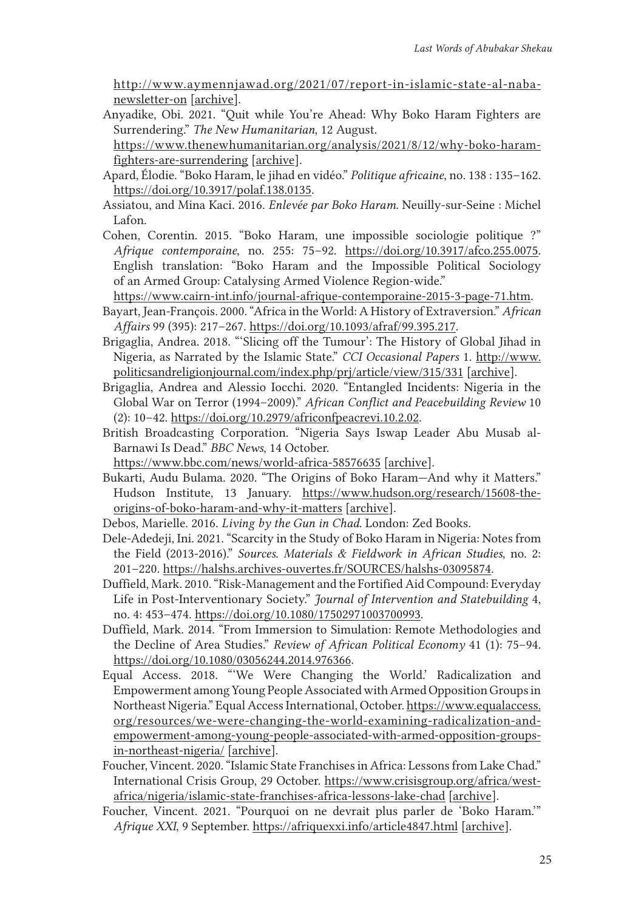[http://www.aymennjawad.org/2021/07/report-in-islamic-state-al-naba](http://www.aymennjawad.org/2021/07/report-in-islamic-state-al-naba-newsletter-on)[newsletter-on](http://www.aymennjawad.org/2021/07/report-in-islamic-state-al-naba-newsletter-on) [\[archive](https://web.archive.org/web/20210924211353/http:/www.aymennjawad.org/2021/07/report-in-islamic-state-al-naba-newsletter-on)].

- Anyadike, Obi. 2021. "Quit while You're Ahead: Why Boko Haram Fighters are Surrendering." *The New Humanitarian*, 12 August.
- [https://www.thenewhumanitarian.org/analysis/2021/8/12/why-boko-haram](https://www.thenewhumanitarian.org/analysis/2021/8/12/why-boko-haram-fighters-are-surrendering)[fighters-are-surrendering](https://www.thenewhumanitarian.org/analysis/2021/8/12/why-boko-haram-fighters-are-surrendering) [[archive](https://web.archive.org/web/20211015162532/https:/www.thenewhumanitarian.org/analysis/2021/8/12/why-boko-haram-fighters-are-surrendering)].
- Apard, Élodie. "Boko Haram, le jihad en vidéo." *Politique africaine*, no. 138 : 135–162. <https://doi.org/10.3917/polaf.138.0135>.
- Assiatou, and Mina Kaci. 2016. *Enlevée par Boko Haram*. Neuilly-sur-Seine : Michel Lafon.
- Cohen, Corentin. 2015. "Boko Haram, une impossible sociologie politique ?" *Afrique contemporaine*, no. 255: 75–92. <https://doi.org/10.3917/afco.255.0075>. English translation: "Boko Haram and the Impossible Political Sociology of an Armed Group: Catalysing Armed Violence Region-wide."

<https://www.cairn-int.info/journal-afrique-contemporaine-2015-3-page-71.htm>.

- Bayart, Jean-François. 2000. "Africa in the World: A History of Extraversion." *African Affairs* 99 (395): 217–267. <https://doi.org/10.1093/afraf/99.395.217>.
- Brigaglia, Andrea. 2018. "'Slicing off the Tumour': The History of Global Jihad in Nigeria, as Narrated by the Islamic State." *CCI Occasional Papers* 1. [http://www.](http://www.politicsandreligionjournal.com/index.php/prj/article/view/315/331) [politicsandreligionjournal.com/index.php/prj/article/view/315/331](http://www.politicsandreligionjournal.com/index.php/prj/article/view/315/331) [[archive](https://web.archive.org/web/20200725003551/http:/www.politicsandreligionjournal.com/index.php/prj/article/download/315/331/)].
- Brigaglia, Andrea and Alessio Iocchi. 2020. "Entangled Incidents: Nigeria in the Global War on Terror (1994–2009)." *African Conflict and Peacebuilding Review* 10 (2): 10–42.<https://doi.org/10.2979/africonfpeacrevi.10.2.02>.
- British Broadcasting Corporation. "Nigeria Says Iswap Leader Abu Musab al-Barnawi Is Dead." *BBC News*, 14 October.

<https://www.bbc.com/news/world-africa-58576635> [\[archive](https://web.archive.org/web/20211019062727/https:/www.bbc.com/news/world-africa-58576635)].

Bukarti, Audu Bulama. 2020. "The Origins of Boko Haram—And why it Matters." Hudson Institute, 13 January. [https://www.hudson.org/research/15608-the](https://www.hudson.org/research/15608-the-origins-of-boko-haram-and-why-it-matters)[origins-of-boko-haram-and-why-it-matters](https://www.hudson.org/research/15608-the-origins-of-boko-haram-and-why-it-matters) [[archive](https://web.archive.org/web/20211019084601/https:/www.hudson.org/research/15608-the-origins-of-boko-haram-and-why-it-matters)].

Debos, Marielle. 2016. *Living by the Gun in Chad*. London: Zed Books.

- Dele-Adedeji, Ini. 2021. "Scarcity in the Study of Boko Haram in Nigeria: Notes from the Field (2013-2016)." *Sources. Materials & Fieldwork in African Studies*, no. 2: 201–220. <https://halshs.archives-ouvertes.fr/SOURCES/halshs-03095874>.
- Duffield, Mark. 2010. "Risk-Management and the Fortified Aid Compound: Everyday Life in Post-Interventionary Society." *Journal of Intervention and Statebuilding* 4, no. 4: 453–474.<https://doi.org/10.1080/17502971003700993>.
- Duffield, Mark. 2014. "From Immersion to Simulation: Remote Methodologies and the Decline of Area Studies." *Review of African Political Economy* 41 (1): 75–94. <https://doi.org/10.1080/03056244.2014.976366>.
- Equal Access. 2018. "'We Were Changing the World.' Radicalization and Empowerment among Young People Associated with Armed Opposition Groups in Northeast Nigeria." Equal Access International, October. [https://www.equalaccess.](https://www.equalaccess.org/resources/we-were-changing-the-world-examining-radicalization-and-empowerment-among-young-people-associated-with-armed-opposition-groups-in-northeast-nigeria/) [org/resources/we-were-changing-the-world-examining-radicalization-and](https://www.equalaccess.org/resources/we-were-changing-the-world-examining-radicalization-and-empowerment-among-young-people-associated-with-armed-opposition-groups-in-northeast-nigeria/)[empowerment-among-young-people-associated-with-armed-opposition-groups](https://www.equalaccess.org/resources/we-were-changing-the-world-examining-radicalization-and-empowerment-among-young-people-associated-with-armed-opposition-groups-in-northeast-nigeria/)[in-northeast-nigeria/](https://www.equalaccess.org/resources/we-were-changing-the-world-examining-radicalization-and-empowerment-among-young-people-associated-with-armed-opposition-groups-in-northeast-nigeria/) [[archive](https://web.archive.org/web/20210126143849/https:/www.equalaccess.org/resources/we-were-changing-the-world-examining-radicalization-and-empowerment-among-young-people-associated-with-armed-opposition-groups-in-northeast-nigeria/)].
- Foucher, Vincent. 2020. "Islamic State Franchises in Africa: Lessons from Lake Chad." International Crisis Group, 29 October. [https://www.crisisgroup.org/africa/west](https://www.crisisgroup.org/africa/west-africa/nigeria/islamic-state-franchises-africa-lessons-lake-chad)[africa/nigeria/islamic-state-franchises-africa-lessons-lake-chad](https://www.crisisgroup.org/africa/west-africa/nigeria/islamic-state-franchises-africa-lessons-lake-chad) [[archive](https://web.archive.org/web/20211119095325/https:/www.crisisgroup.org/africa/west-africa/nigeria/islamic-state-franchises-africa-lessons-lake-chad)].
- Foucher, Vincent. 2021. "Pourquoi on ne devrait plus parler de 'Boko Haram.'" *Afrique XXI*, 9 September. <https://afriquexxi.info/article4847.html> [[archive](https://web.archive.org/web/20211123165121/https:/afriquexxi.info/article4847.html)].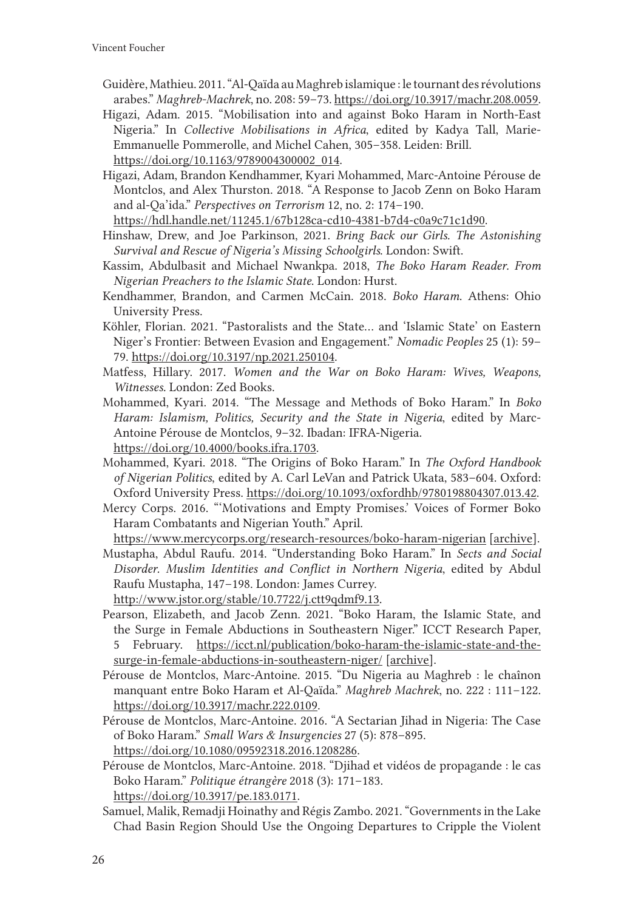- Guidère, Mathieu. 2011. "Al-Qaïda au Maghreb islamique : le tournant des révolutions arabes." *Maghreb-Machrek*, no. 208: 59–73.<https://doi.org/10.3917/machr.208.0059>.
- Higazi, Adam. 2015. "Mobilisation into and against Boko Haram in North-East Nigeria." In *Collective Mobilisations in Africa*, edited by Kadya Tall, Marie-Emmanuelle Pommerolle, and Michel Cahen, 305–358. Leiden: Brill. [https://doi.org/10.1163/9789004300002\\_014](https://doi.org/10.1163/9789004300002_014).
- Higazi, Adam, Brandon Kendhammer, Kyari Mohammed, Marc-Antoine Pérouse de Montclos, and Alex Thurston. 2018. "A Response to Jacob Zenn on Boko Haram and al-Qa'ida." *Perspectives on Terrorism* 12, no. 2: 174–190.

<https://hdl.handle.net/11245.1/67b128ca-cd10-4381-b7d4-c0a9c71c1d90>.

- Hinshaw, Drew, and Joe Parkinson, 2021. *Bring Back our Girls. The Astonishing Survival and Rescue of Nigeria's Missing Schoolgirls*. London: Swift.
- Kassim, Abdulbasit and Michael Nwankpa. 2018, *The Boko Haram Reader. From Nigerian Preachers to the Islamic State*. London: Hurst.
- Kendhammer, Brandon, and Carmen McCain. 2018. *Boko Haram*. Athens: Ohio University Press.
- Köhler, Florian. 2021. "Pastoralists and the State… and 'Islamic State' on Eastern Niger's Frontier: Between Evasion and Engagement." *Nomadic Peoples* 25 (1): 59– 79. <https://doi.org/10.3197/np.2021.250104>.
- Matfess, Hillary. 2017. *Women and the War on Boko Haram: Wives, Weapons, Witnesses.* London: Zed Books.
- Mohammed, Kyari. 2014. "The Message and Methods of Boko Haram." In *Boko Haram: Islamism, Politics, Security and the State in Nigeria*, edited by Marc-Antoine Pérouse de Montclos, 9–32. Ibadan: IFRA-Nigeria. <https://doi.org/10.4000/books.ifra.1703>.
- Mohammed, Kyari. 2018. "The Origins of Boko Haram." In *The Oxford Handbook of Nigerian Politics*, edited by A. Carl LeVan and Patrick Ukata, 583–604. Oxford: Oxford University Press.<https://doi.org/10.1093/oxfordhb/9780198804307.013.42>.
- Mercy Corps. 2016. "'Motivations and Empty Promises.' Voices of Former Boko Haram Combatants and Nigerian Youth." April.

<https://www.mercycorps.org/research-resources/boko-haram-nigerian> [\[archive](https://web.archive.org/web/20210722060257/https:/www.mercycorps.org/research-resources/boko-haram-nigerian)].

Mustapha, Abdul Raufu. 2014. "Understanding Boko Haram." In *Sects and Social Disorder. Muslim Identities and Conflict in Northern Nigeria*, edited by Abdul Raufu Mustapha, 147–198. London: James Currey.

<http://www.jstor.org/stable/10.7722/j.ctt9qdmf9.13>.

- Pearson, Elizabeth, and Jacob Zenn. 2021. "Boko Haram, the Islamic State, and the Surge in Female Abductions in Southeastern Niger." ICCT Research Paper, 5 February. [https://icct.nl/publication/boko-haram-the-islamic-state-and-the](https://icct.nl/publication/boko-haram-the-islamic-state-and-the-surge-in-female-abductions-in-southeastern-niger/)[surge-in-female-abductions-in-southeastern-niger/](https://icct.nl/publication/boko-haram-the-islamic-state-and-the-surge-in-female-abductions-in-southeastern-niger/) [[archive](https://web.archive.org/web/20211105132725/https:/icct.nl/publication/boko-haram-the-islamic-state-and-the-surge-in-female-abductions-in-southeastern-niger/)].
- Pérouse de Montclos, Marc-Antoine. 2015. "Du Nigeria au Maghreb : le chaînon manquant entre Boko Haram et Al-Qaïda." *Maghreb Machrek*, no. 222 : 111–122. <https://doi.org/10.3917/machr.222.0109>.
- Pérouse de Montclos, Marc-Antoine. 2016. "A Sectarian Jihad in Nigeria: The Case of Boko Haram." *Small Wars & Insurgencies* 27 (5): 878–895. <https://doi.org/10.1080/09592318.2016.1208286>.
- Pérouse de Montclos, Marc-Antoine. 2018. "Djihad et vidéos de propagande : le cas Boko Haram." *Politique étrangère* 2018 (3): 171–183. <https://doi.org/10.3917/pe.183.0171>.
- Samuel, Malik, Remadji Hoinathy and Régis Zambo. 2021. "Governments in the Lake Chad Basin Region Should Use the Ongoing Departures to Cripple the Violent